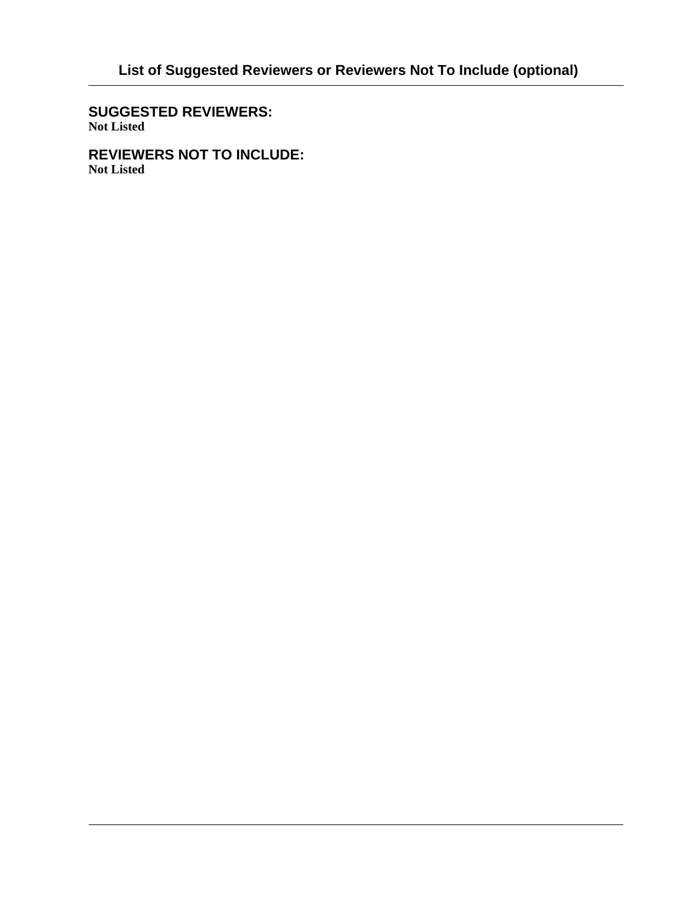**SUGGESTED REVIEWERS: Not Listed**

**REVIEWERS NOT TO INCLUDE: Not Listed**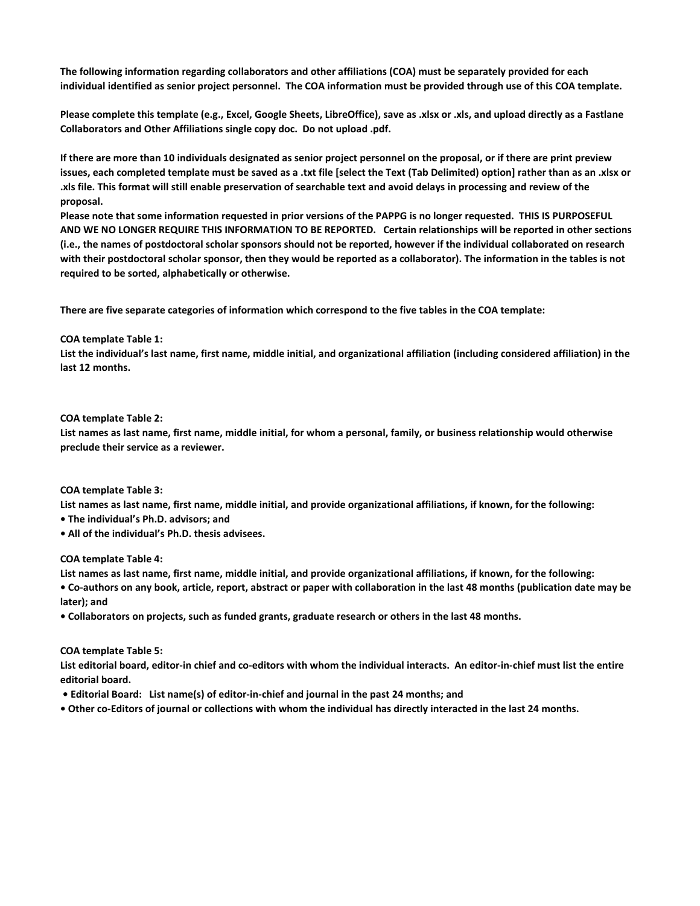**The following information regarding collaborators and other affiliations (COA) must be separately provided for each individual identified as senior project personnel. The COA information must be provided through use of this COA template.** 

**Please complete this template (e.g., Excel, Google Sheets, LibreOffice), save as .xlsx or .xls, and upload directly as a Fastlane Collaborators and Other Affiliations single copy doc. Do not upload .pdf.** 

**If there are more than 10 individuals designated as senior project personnel on the proposal, or if there are print preview issues, each completed template must be saved as a .txt file [select the Text (Tab Delimited) option] rather than as an .xlsx or .xls file. This format will still enable preservation of searchable text and avoid delays in processing and review of the proposal.** 

**Please note that some information requested in prior versions of the PAPPG is no longer requested. THIS IS PURPOSEFUL AND WE NO LONGER REQUIRE THIS INFORMATION TO BE REPORTED. Certain relationships will be reported in other sections (i.e., the names of postdoctoral scholar sponsors should not be reported, however if the individual collaborated on research with their postdoctoral scholar sponsor, then they would be reported as a collaborator). The information in the tables is not required to be sorted, alphabetically or otherwise.** 

**There are five separate categories of information which correspond to the five tables in the COA template:**

#### **COA template Table 1:**

List the individual's last name, first name, middle initial, and organizational affiliation (including considered affiliation) in the **last 12 months.** 

#### **COA template Table 2:**

**List names as last name, first name, middle initial, for whom a personal, family, or business relationship would otherwise preclude their service as a reviewer.**

#### **COA template Table 3:**

**List names as last name, first name, middle initial, and provide organizational affiliations, if known, for the following:** 

**• The individual's Ph.D. advisors; and**

**• All of the individual's Ph.D. thesis advisees.**

#### **COA template Table 4:**

**List names as last name, first name, middle initial, and provide organizational affiliations, if known, for the following:**

**• Co-authors on any book, article, report, abstract or paper with collaboration in the last 48 months (publication date may be later); and**

**• Collaborators on projects, such as funded grants, graduate research or others in the last 48 months.** 

#### **COA template Table 5:**

**List editorial board, editor-in chief and co-editors with whom the individual interacts. An editor-in-chief must list the entire editorial board.**

- **Editorial Board: List name(s) of editor-in-chief and journal in the past 24 months; and**
- **Other co-Editors of journal or collections with whom the individual has directly interacted in the last 24 months.**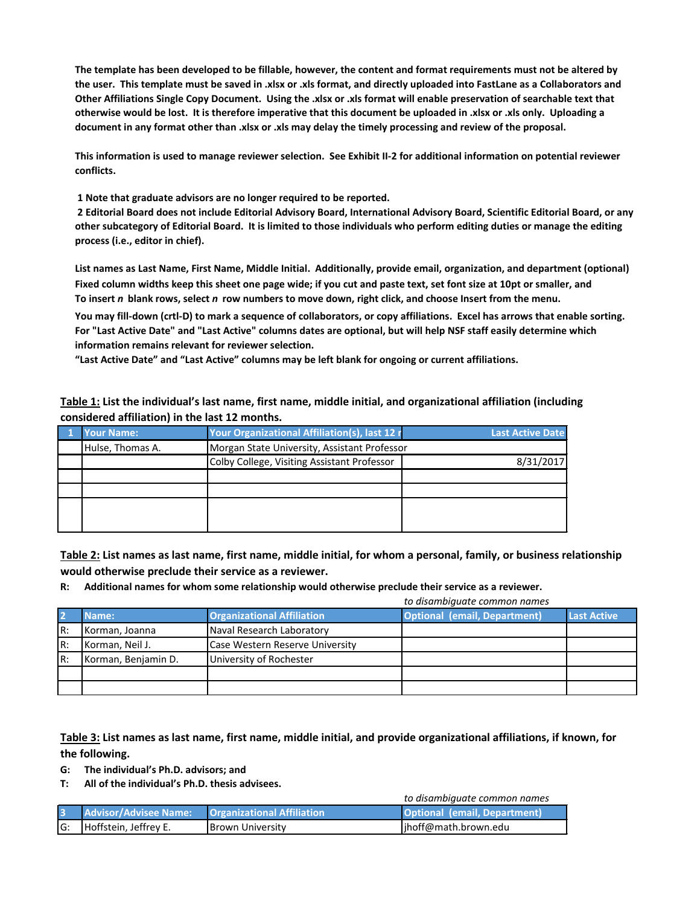**The template has been developed to be fillable, however, the content and format requirements must not be altered by the user. This template must be saved in .xlsx or .xls format, and directly uploaded into FastLane as a Collaborators and Other Affiliations Single Copy Document. Using the .xlsx or .xls format will enable preservation of searchable text that otherwise would be lost. It is therefore imperative that this document be uploaded in .xlsx or .xls only. Uploading a document in any format other than .xlsx or .xls may delay the timely processing and review of the proposal.**

**This information is used to manage reviewer selection. See Exhibit II-2 for additional information on potential reviewer conflicts.** 

 **1 Note that graduate advisors are no longer required to be reported.**

 **2 Editorial Board does not include Editorial Advisory Board, International Advisory Board, Scientific Editorial Board, or any other subcategory of Editorial Board. It is limited to those individuals who perform editing duties or manage the editing process (i.e., editor in chief).**

**To insert** *n* **blank rows, select** *n* **row numbers to move down, right click, and choose Insert from the menu. Fixed column widths keep this sheet one page wide; if you cut and paste text, set font size at 10pt or smaller, and List names as Last Name, First Name, Middle Initial. Additionally, provide email, organization, and department (optional)** 

**You may fill-down (crtl-D) to mark a sequence of collaborators, or copy affiliations. Excel has arrows that enable sorting. For "Last Active Date" and "Last Active" columns dates are optional, but will help NSF staff easily determine which information remains relevant for reviewer selection.** 

**"Last Active Date" and "Last Active" columns may be left blank for ongoing or current affiliations.** 

**Table 1: List the individual's last name, first name, middle initial, and organizational affiliation (including considered affiliation) in the last 12 months.**

| <b>Your Name:</b> | Your Organizational Affiliation(s), last 12 r | <b>Last Active Date</b> |
|-------------------|-----------------------------------------------|-------------------------|
| Hulse, Thomas A.  | Morgan State University, Assistant Professor  |                         |
|                   | Colby College, Visiting Assistant Professor   | 8/31/2017               |
|                   |                                               |                         |
|                   |                                               |                         |
|                   |                                               |                         |
|                   |                                               |                         |
|                   |                                               |                         |

**Table 2: List names as last name, first name, middle initial, for whom a personal, family, or business relationship would otherwise preclude their service as a reviewer.**

**R: Additional names for whom some relationship would otherwise preclude their service as a reviewer.**

| to disambiguate common names |                                                   |                                 |                                     |                    |
|------------------------------|---------------------------------------------------|---------------------------------|-------------------------------------|--------------------|
| $\overline{2}$               | <b>Organizational Affiliation</b><br><b>Name:</b> |                                 | <b>Optional (email, Department)</b> | <b>Last Active</b> |
| R:                           | Korman, Joanna                                    | Naval Research Laboratory       |                                     |                    |
| R:                           | Korman, Neil J.                                   | Case Western Reserve University |                                     |                    |
| R:                           | Korman, Benjamin D.                               | University of Rochester         |                                     |                    |
|                              |                                                   |                                 |                                     |                    |
|                              |                                                   |                                 |                                     |                    |

#### **Table 3: List names as last name, first name, middle initial, and provide organizational affiliations, if known, for the following.**

**G: The individual's Ph.D. advisors; and** 

**T: All of the individual's Ph.D. thesis advisees.**

*to disambiguate common names*

|     | Advisor/Advisee Name:   Organizational Affiliation |                         | <b>Optional (email, Department)</b> |
|-----|----------------------------------------------------|-------------------------|-------------------------------------|
| IG: | Hoffstein, Jeffrey E.                              | <b>Brown University</b> | jhoff@math.brown.edu                |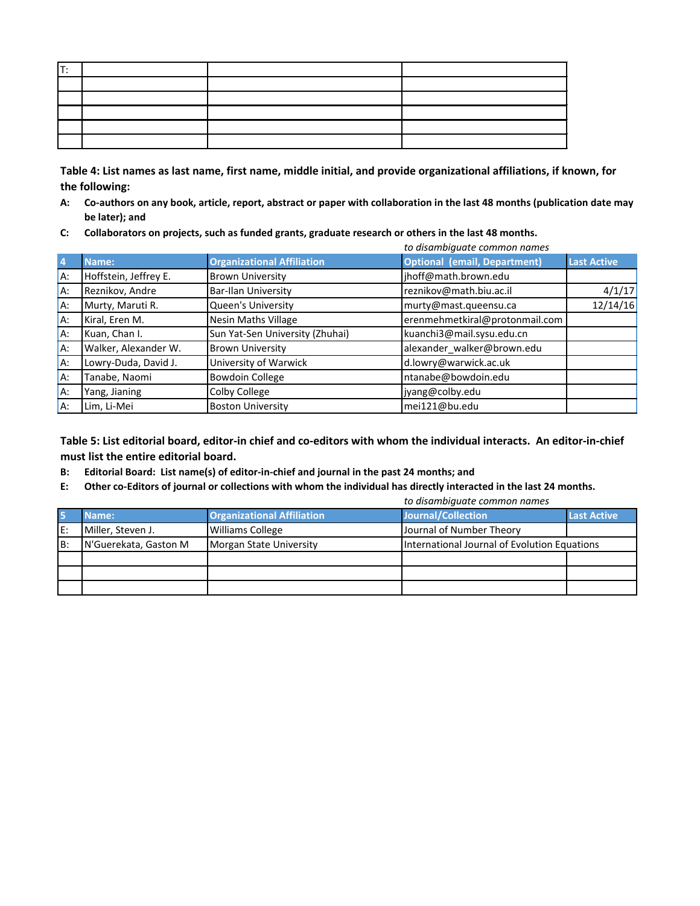| lt: |  |  |
|-----|--|--|
|     |  |  |
|     |  |  |
|     |  |  |
|     |  |  |
|     |  |  |

**Table 4: List names as last name, first name, middle initial, and provide organizational affiliations, if known, for the following:**

- **A: Co-authors on any book, article, report, abstract or paper with collaboration in the last 48 months (publication date may be later); and**
- **C: Collaborators on projects, such as funded grants, graduate research or others in the last 48 months.**

|                |                                               | to disambiguate common names                                 |                                     |                    |  |
|----------------|-----------------------------------------------|--------------------------------------------------------------|-------------------------------------|--------------------|--|
| $\overline{4}$ | Name:                                         | <b>Organizational Affiliation</b>                            | <b>Optional (email, Department)</b> | <b>Last Active</b> |  |
| IA:            | Hoffstein, Jeffrey E.                         | <b>Brown University</b>                                      | jhoff@math.brown.edu                |                    |  |
| IA:            | Reznikov, Andre                               | <b>Bar-Ilan University</b>                                   | reznikov@math.biu.ac.il             | 4/1/17             |  |
| IA:            | Murty, Maruti R.<br><b>Queen's University</b> |                                                              | 12/14/16<br>murty@mast.queensu.ca   |                    |  |
| IA:            | Kiral, Eren M.                                | <b>Nesin Maths Village</b><br>erenmehmetkiral@protonmail.com |                                     |                    |  |
| IA:            | Kuan, Chan I.                                 | Sun Yat-Sen University (Zhuhai)                              | kuanchi3@mail.sysu.edu.cn           |                    |  |
| IA:            | Walker, Alexander W.                          | <b>Brown University</b>                                      | alexander_walker@brown.edu          |                    |  |
| IA:            | Lowry-Duda, David J.<br>University of Warwick |                                                              | d.lowry@warwick.ac.uk               |                    |  |
| IA:            | Tanabe, Naomi                                 | <b>Bowdoin College</b>                                       | ntanabe@bowdoin.edu                 |                    |  |
| A:             | Yang, Jianing                                 | Colby College                                                | jyang@colby.edu                     |                    |  |
| IA:            | Lim, Li-Mei                                   | <b>Boston University</b>                                     | mei121@bu.edu                       |                    |  |

**Table 5: List editorial board, editor-in chief and co-editors with whom the individual interacts. An editor-in-chief must list the entire editorial board.**

- **B: Editorial Board: List name(s) of editor-in-chief and journal in the past 24 months; and**
- **E: Other co-Editors of journal or collections with whom the individual has directly interacted in the last 24 months.**

|    | to disambiguate common names |                                   |                                              |                    |
|----|------------------------------|-----------------------------------|----------------------------------------------|--------------------|
|    | Name:                        | <b>Organizational Affiliation</b> | <b>Journal/Collection</b>                    | <b>Last Active</b> |
| E: | Miller, Steven J.            | <b>Williams College</b>           | Journal of Number Theory                     |                    |
| B: | N'Guerekata, Gaston M        | Morgan State University           | International Journal of Evolution Equations |                    |
|    |                              |                                   |                                              |                    |
|    |                              |                                   |                                              |                    |
|    |                              |                                   |                                              |                    |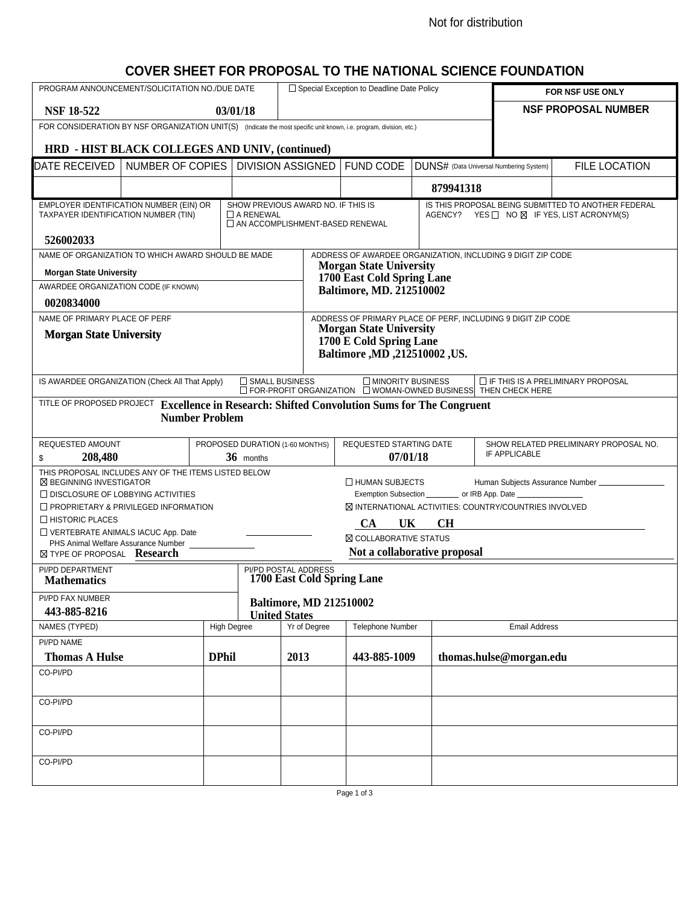#### Not for distribution

### **COVER SHEET FOR PROPOSAL TO THE NATIONAL SCIENCE FOUNDATION**

| PROGRAM ANNOUNCEMENT/SOLICITATION NO./DUE DATE                                                                      |                                                 |                    |                  |                                                           | □ Special Exception to Deadline Date Policy                                                                                                         |           |                                                                                                                        | FOR NSF USE ONLY                                    |  |  |
|---------------------------------------------------------------------------------------------------------------------|-------------------------------------------------|--------------------|------------------|-----------------------------------------------------------|-----------------------------------------------------------------------------------------------------------------------------------------------------|-----------|------------------------------------------------------------------------------------------------------------------------|-----------------------------------------------------|--|--|
| <b>NSF 18-522</b>                                                                                                   |                                                 |                    | 03/01/18         |                                                           |                                                                                                                                                     |           |                                                                                                                        | <b>NSF PROPOSAL NUMBER</b>                          |  |  |
| FOR CONSIDERATION BY NSF ORGANIZATION UNIT(S) (Indicate the most specific unit known, i.e. program, division, etc.) |                                                 |                    |                  |                                                           |                                                                                                                                                     |           |                                                                                                                        |                                                     |  |  |
|                                                                                                                     | HRD - HIST BLACK COLLEGES AND UNIV, (continued) |                    |                  |                                                           |                                                                                                                                                     |           |                                                                                                                        |                                                     |  |  |
| DATE RECEIVED                                                                                                       | NUMBER OF COPIES                                |                    |                  | <b>DIVISION ASSIGNED</b>                                  | <b>FUND CODE</b>                                                                                                                                    |           | DUNS# (Data Universal Numbering System)                                                                                | <b>FILE LOCATION</b>                                |  |  |
|                                                                                                                     |                                                 |                    |                  |                                                           |                                                                                                                                                     | 879941318 |                                                                                                                        |                                                     |  |  |
| EMPLOYER IDENTIFICATION NUMBER (EIN) OR                                                                             |                                                 |                    |                  | SHOW PREVIOUS AWARD NO. IF THIS IS                        |                                                                                                                                                     |           |                                                                                                                        | IS THIS PROPOSAL BEING SUBMITTED TO ANOTHER FEDERAL |  |  |
| TAXPAYER IDENTIFICATION NUMBER (TIN)                                                                                |                                                 |                    | $\Box$ A RENEWAL | AN ACCOMPLISHMENT-BASED RENEWAL                           |                                                                                                                                                     |           | AGENCY? YES □ NO ⊠ IF YES, LIST ACRONYM(S)                                                                             |                                                     |  |  |
| 526002033                                                                                                           |                                                 |                    |                  |                                                           |                                                                                                                                                     |           |                                                                                                                        |                                                     |  |  |
| NAME OF ORGANIZATION TO WHICH AWARD SHOULD BE MADE                                                                  |                                                 |                    |                  |                                                           |                                                                                                                                                     |           | ADDRESS OF AWARDEE ORGANIZATION, INCLUDING 9 DIGIT ZIP CODE                                                            |                                                     |  |  |
| <b>Morgan State University</b>                                                                                      |                                                 |                    |                  |                                                           | <b>Morgan State University</b><br>1700 East Cold Spring Lane                                                                                        |           |                                                                                                                        |                                                     |  |  |
| AWARDEE ORGANIZATION CODE (IF KNOWN)                                                                                |                                                 |                    |                  |                                                           | <b>Baltimore, MD. 212510002</b>                                                                                                                     |           |                                                                                                                        |                                                     |  |  |
| 0020834000                                                                                                          |                                                 |                    |                  |                                                           |                                                                                                                                                     |           |                                                                                                                        |                                                     |  |  |
| NAME OF PRIMARY PLACE OF PERF                                                                                       |                                                 |                    |                  |                                                           | <b>Morgan State University</b>                                                                                                                      |           | ADDRESS OF PRIMARY PLACE OF PERF, INCLUDING 9 DIGIT ZIP CODE                                                           |                                                     |  |  |
| <b>Morgan State University</b>                                                                                      |                                                 |                    |                  |                                                           | 1700 E Cold Spring Lane                                                                                                                             |           |                                                                                                                        |                                                     |  |  |
|                                                                                                                     |                                                 |                    |                  |                                                           | Baltimore , MD , 212510002 , US.                                                                                                                    |           |                                                                                                                        |                                                     |  |  |
| IS AWARDEE ORGANIZATION (Check All That Apply)                                                                      |                                                 |                    | SMALL BUSINESS   |                                                           | $\Box$ MINORITY BUSINESS                                                                                                                            |           | $\Box$ IF THIS IS A PRELIMINARY PROPOSAL<br>$\Box$ FOR-PROFIT ORGANIZATION $\Box$ WOMAN-OWNED BUSINESS THEN CHECK HERE |                                                     |  |  |
| TITLE OF PROPOSED PROJECT Excellence in Research: Shifted Convolution Sums for The Congruent                        |                                                 |                    |                  |                                                           |                                                                                                                                                     |           |                                                                                                                        |                                                     |  |  |
|                                                                                                                     | <b>Number Problem</b>                           |                    |                  |                                                           |                                                                                                                                                     |           |                                                                                                                        |                                                     |  |  |
|                                                                                                                     |                                                 |                    |                  |                                                           |                                                                                                                                                     |           |                                                                                                                        |                                                     |  |  |
| REQUESTED AMOUNT<br>208,480<br>\$                                                                                   |                                                 |                    | 36 months        | PROPOSED DURATION (1-60 MONTHS)                           | REQUESTED STARTING DATE<br>SHOW RELATED PRELIMINARY PROPOSAL NO.<br>IF APPLICABLE<br>07/01/18                                                       |           |                                                                                                                        |                                                     |  |  |
| THIS PROPOSAL INCLUDES ANY OF THE ITEMS LISTED BELOW                                                                |                                                 |                    |                  |                                                           |                                                                                                                                                     |           |                                                                                                                        |                                                     |  |  |
| ⊠ BEGINNING INVESTIGATOR<br>$\Box$ DISCLOSURE OF LOBBYING ACTIVITIES                                                |                                                 |                    |                  |                                                           | $\Box$ HUMAN SUBJECTS<br>Human Subjects Assurance Number ______________<br>Exemption Subsection ____________ or IRB App. Date _____________________ |           |                                                                                                                        |                                                     |  |  |
| $\Box$ PROPRIETARY & PRIVILEGED INFORMATION                                                                         |                                                 |                    |                  |                                                           | <b>⊠ INTERNATIONAL ACTIVITIES: COUNTRY/COUNTRIES INVOLVED</b>                                                                                       |           |                                                                                                                        |                                                     |  |  |
| $\Box$ HISTORIC PLACES                                                                                              |                                                 |                    |                  |                                                           | <b>CH</b><br><b>CA</b><br>UK                                                                                                                        |           |                                                                                                                        |                                                     |  |  |
| VERTEBRATE ANIMALS IACUC App. Date                                                                                  |                                                 |                    |                  |                                                           | <b>N COLLABORATIVE STATUS</b>                                                                                                                       |           |                                                                                                                        |                                                     |  |  |
| PHS Animal Welfare Assurance Number<br>⊠ TYPE OF PROPOSAL Research                                                  |                                                 |                    |                  |                                                           | Not a collaborative proposal                                                                                                                        |           |                                                                                                                        |                                                     |  |  |
| PI/PD DEPARTMENT                                                                                                    |                                                 |                    |                  | <b>PI/PD POSTAL ADDRESS</b><br>1700 East Cold Spring Lane |                                                                                                                                                     |           |                                                                                                                        |                                                     |  |  |
| <b>Mathematics</b>                                                                                                  |                                                 |                    |                  |                                                           |                                                                                                                                                     |           |                                                                                                                        |                                                     |  |  |
| PI/PD FAX NUMBER<br>443-885-8216                                                                                    |                                                 |                    |                  | <b>Baltimore, MD 212510002</b><br><b>United States</b>    |                                                                                                                                                     |           |                                                                                                                        |                                                     |  |  |
| NAMES (TYPED)                                                                                                       |                                                 | <b>High Degree</b> |                  | Yr of Degree                                              | Telephone Number                                                                                                                                    |           | Email Address                                                                                                          |                                                     |  |  |
| PI/PD NAME                                                                                                          |                                                 |                    |                  |                                                           |                                                                                                                                                     |           |                                                                                                                        |                                                     |  |  |
| <b>Thomas A Hulse</b>                                                                                               |                                                 | <b>DPhil</b>       |                  | 2013                                                      | 443-885-1009                                                                                                                                        |           | thomas.hulse@morgan.edu                                                                                                |                                                     |  |  |
| CO-PI/PD                                                                                                            |                                                 |                    |                  |                                                           |                                                                                                                                                     |           |                                                                                                                        |                                                     |  |  |
| CO-PI/PD                                                                                                            |                                                 |                    |                  |                                                           |                                                                                                                                                     |           |                                                                                                                        |                                                     |  |  |
| CO-PI/PD                                                                                                            |                                                 |                    |                  |                                                           |                                                                                                                                                     |           |                                                                                                                        |                                                     |  |  |
|                                                                                                                     |                                                 |                    |                  |                                                           |                                                                                                                                                     |           |                                                                                                                        |                                                     |  |  |
| CO-PI/PD                                                                                                            |                                                 |                    |                  |                                                           |                                                                                                                                                     |           |                                                                                                                        |                                                     |  |  |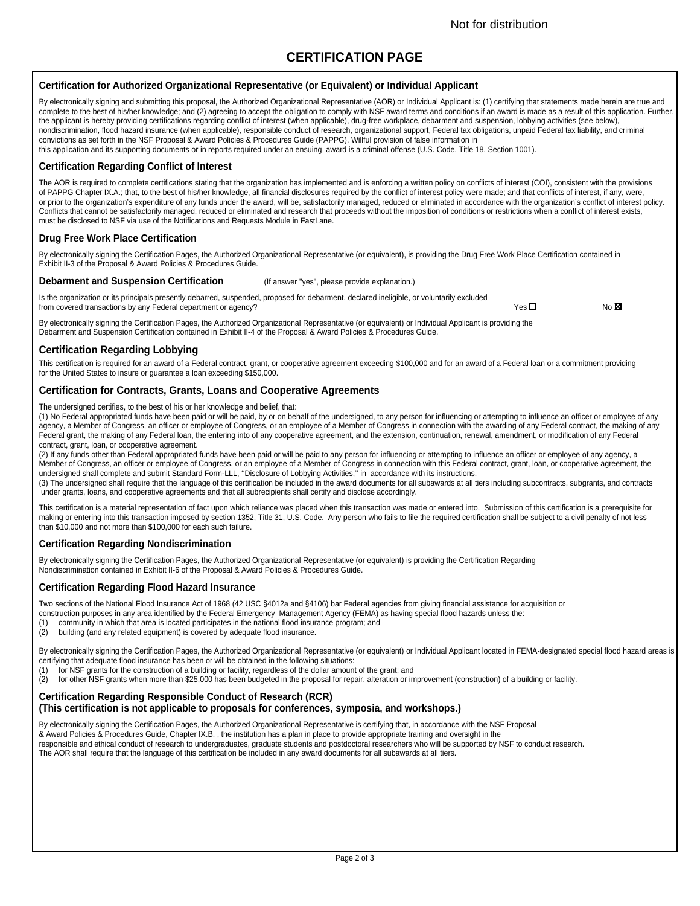### **CERTIFICATION PAGE**

#### **Certification for Authorized Organizational Representative (or Equivalent) or Individual Applicant**

By electronically signing and submitting this proposal, the Authorized Organizational Representative (AOR) or Individual Applicant is: (1) certifying that statements made herein are true and complete to the best of his/her knowledge; and (2) agreeing to accept the obligation to comply with NSF award terms and conditions if an award is made as a result of this application. Further, the applicant is hereby providing certifications regarding conflict of interest (when applicable), drug-free workplace, debarment and suspension, lobbying activities (see below), nondiscrimination, flood hazard insurance (when applicable), responsible conduct of research, organizational support, Federal tax obligations, unpaid Federal tax liability, and criminal convictions as set forth in the NSF Proposal & Award Policies & Procedures Guide (PAPPG). Willful provision of false information in this application and its supporting documents or in reports required under an ensuing award is a criminal offense (U.S. Code, Title 18, Section 1001).

#### **Certification Regarding Conflict of Interest**

The AOR is required to complete certifications stating that the organization has implemented and is enforcing a written policy on conflicts of interest (COI), consistent with the provisions of PAPPG Chapter IX.A.; that, to the best of his/her knowledge, all financial disclosures required by the conflict of interest policy were made; and that conflicts of interest, if any, were, or prior to the organization's expenditure of any funds under the award, will be, satisfactorily managed, reduced or eliminated in accordance with the organization's conflict of interest policy. Conflicts that cannot be satisfactorily managed, reduced or eliminated and research that proceeds without the imposition of conditions or restrictions when a conflict of interest exists, must be disclosed to NSF via use of the Notifications and Requests Module in FastLane.

#### **Drug Free Work Place Certification**

By electronically signing the Certification Pages, the Authorized Organizational Representative (or equivalent), is providing the Drug Free Work Place Certification contained in Exhibit II-3 of the Proposal & Award Policies & Procedures Guide.

#### **Debarment and Suspension Certification** (If answer "yes", please provide explanation.)

Is the organization or its principals presently debarred, suspended, proposed for debarment, declared ineligible, or voluntarily excluded from covered transactions by any Federal department or agency?<br>
No  $\boxtimes$ 

By electronically signing the Certification Pages, the Authorized Organizational Representative (or equivalent) or Individual Applicant is providing the Debarment and Suspension Certification contained in Exhibit II-4 of the Proposal & Award Policies & Procedures Guide.

#### **Certification Regarding Lobbying**

This certification is required for an award of a Federal contract, grant, or cooperative agreement exceeding \$100,000 and for an award of a Federal loan or a commitment providing for the United States to insure or guarantee a loan exceeding \$150,000.

#### **Certification for Contracts, Grants, Loans and Cooperative Agreements**

The undersigned certifies, to the best of his or her knowledge and belief, that:

(1) No Federal appropriated funds have been paid or will be paid, by or on behalf of the undersigned, to any person for influencing or attempting to influence an officer or employee of any agency, a Member of Congress, an officer or employee of Congress, or an employee of a Member of Congress in connection with the awarding of any Federal contract, the making of any Federal grant, the making of any Federal loan, the entering into of any cooperative agreement, and the extension, continuation, renewal, amendment, or modification of any Federal contract, grant, loan, or cooperative agreement.

(2) If any funds other than Federal appropriated funds have been paid or will be paid to any person for influencing or attempting to influence an officer or employee of any agency, a Member of Congress, an officer or employee of Congress, or an employee of a Member of Congress in connection with this Federal contract, grant, loan, or cooperative agreement, the undersigned shall complete and submit Standard Form-LLL, ''Disclosure of Lobbying Activities,'' in accordance with its instructions.

(3) The undersigned shall require that the language of this certification be included in the award documents for all subawards at all tiers including subcontracts, subgrants, and contracts under grants, loans, and cooperative agreements and that all subrecipients shall certify and disclose accordingly.

This certification is a material representation of fact upon which reliance was placed when this transaction was made or entered into. Submission of this certification is a prerequisite for making or entering into this transaction imposed by section 1352, Title 31, U.S. Code. Any person who fails to file the required certification shall be subject to a civil penalty of not less than \$10,000 and not more than \$100,000 for each such failure.

#### **Certification Regarding Nondiscrimination**

By electronically signing the Certification Pages, the Authorized Organizational Representative (or equivalent) is providing the Certification Regarding Nondiscrimination contained in Exhibit II-6 of the Proposal & Award Policies & Procedures Guide.

#### **Certification Regarding Flood Hazard Insurance**

Two sections of the National Flood Insurance Act of 1968 (42 USC §4012a and §4106) bar Federal agencies from giving financial assistance for acquisition or construction purposes in any area identified by the Federal Emergency Management Agency (FEMA) as having special flood hazards unless the:

- (1) community in which that area is located participates in the national flood insurance program; and
- (2) building (and any related equipment) is covered by adequate flood insurance.

By electronically signing the Certification Pages, the Authorized Organizational Representative (or equivalent) or Individual Applicant located in FEMA-designated special flood hazard areas is certifying that adequate flood insurance has been or will be obtained in the following situations:

- (1) for NSF grants for the construction of a building or facility, regardless of the dollar amount of the grant; and<br>(2) for other NSF grants when more than \$25,000 has been budgeted in the proposal for repair, alteration
- for other NSF grants when more than \$25,000 has been budgeted in the proposal for repair, alteration or improvement (construction) of a building or facility.

#### **Certification Regarding Responsible Conduct of Research (RCR)**

#### **(This certification is not applicable to proposals for conferences, symposia, and workshops.)**

By electronically signing the Certification Pages, the Authorized Organizational Representative is certifying that, in accordance with the NSF Proposal & Award Policies & Procedures Guide, Chapter IX.B. , the institution has a plan in place to provide appropriate training and oversight in the responsible and ethical conduct of research to undergraduates, graduate students and postdoctoral researchers who will be supported by NSF to conduct research. The AOR shall require that the language of this certification be included in any award documents for all subawards at all tiers.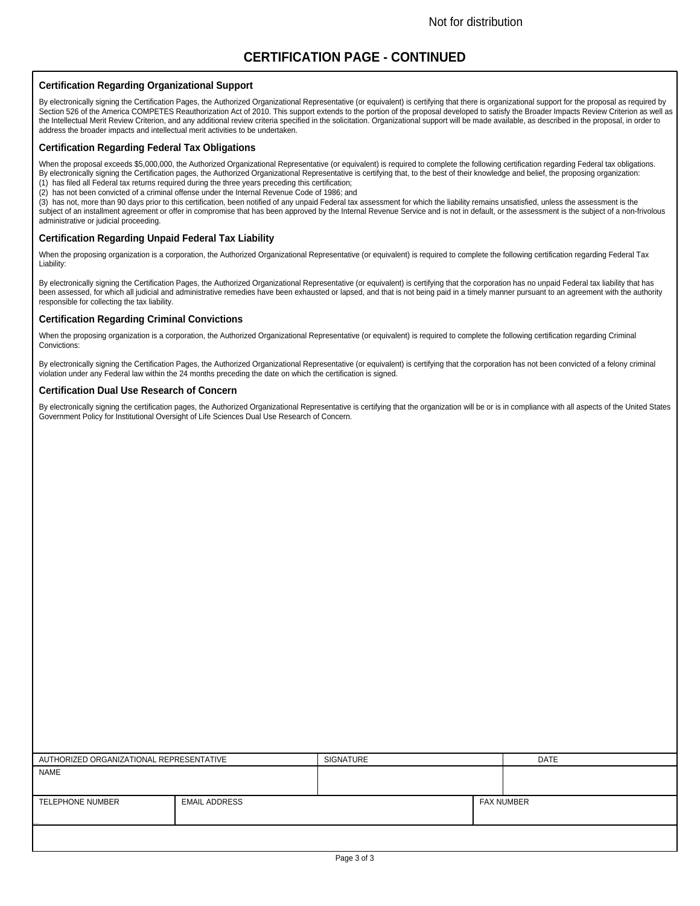### **CERTIFICATION PAGE - CONTINUED**

#### **Certification Regarding Organizational Support**

By electronically signing the Certification Pages, the Authorized Organizational Representative (or equivalent) is certifying that there is organizational support for the proposal as required by Section 526 of the America COMPETES Reauthorization Act of 2010. This support extends to the portion of the proposal developed to satisfy the Broader Impacts Review Criterion as well as the Intellectual Merit Review Criterion, and any additional review criteria specified in the solicitation. Organizational support will be made available, as described in the proposal, in order to address the broader impacts and intellectual merit activities to be undertaken.

#### **Certification Regarding Federal Tax Obligations**

When the proposal exceeds \$5,000,000, the Authorized Organizational Representative (or equivalent) is required to complete the following certification regarding Federal tax obligations. By electronically signing the Certification pages, the Authorized Organizational Representative is certifying that, to the best of their knowledge and belief, the proposing organization: (1) has filed all Federal tax returns required during the three years preceding this certification;

(2) has not been convicted of a criminal offense under the Internal Revenue Code of 1986; and

(3) has not, more than 90 days prior to this certification, been notified of any unpaid Federal tax assessment for which the liability remains unsatisfied, unless the assessment is the subject of an installment agreement or offer in compromise that has been approved by the Internal Revenue Service and is not in default, or the assessment is the subject of a non-frivolous administrative or judicial proceeding.

#### **Certification Regarding Unpaid Federal Tax Liability**

When the proposing organization is a corporation, the Authorized Organizational Representative (or equivalent) is required to complete the following certification regarding Federal Tax Liability:

By electronically signing the Certification Pages, the Authorized Organizational Representative (or equivalent) is certifying that the corporation has no unpaid Federal tax liability that has been assessed, for which all judicial and administrative remedies have been exhausted or lapsed, and that is not being paid in a timely manner pursuant to an agreement with the authority responsible for collecting the tax liability.

#### **Certification Regarding Criminal Convictions**

When the proposing organization is a corporation, the Authorized Organizational Representative (or equivalent) is required to complete the following certification regarding Criminal Convictions:

By electronically signing the Certification Pages, the Authorized Organizational Representative (or equivalent) is certifying that the corporation has not been convicted of a felony criminal violation under any Federal law within the 24 months preceding the date on which the certification is signed.

#### **Certification Dual Use Research of Concern**

By electronically signing the certification pages, the Authorized Organizational Representative is certifying that the organization will be or is in compliance with all aspects of the United States Government Policy for Institutional Oversight of Life Sciences Dual Use Research of Concern.

| AUTHORIZED ORGANIZATIONAL REPRESENTATIVE |                      | SIGNATURE |  | <b>DATE</b>       |
|------------------------------------------|----------------------|-----------|--|-------------------|
| NAME                                     |                      |           |  |                   |
|                                          |                      |           |  |                   |
|                                          |                      |           |  |                   |
| TELEPHONE NUMBER                         | <b>EMAIL ADDRESS</b> |           |  | <b>FAX NUMBER</b> |
|                                          |                      |           |  |                   |
|                                          |                      |           |  |                   |
|                                          |                      |           |  |                   |
|                                          |                      |           |  |                   |
|                                          |                      |           |  |                   |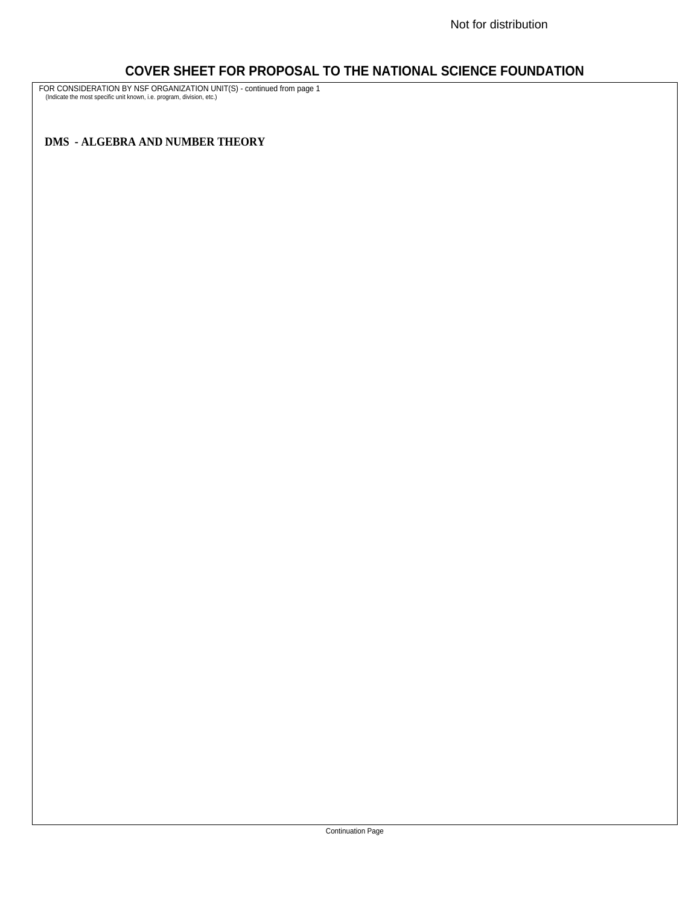### **COVER SHEET FOR PROPOSAL TO THE NATIONAL SCIENCE FOUNDATION**

FOR CONSIDERATION BY NSF ORGANIZATION UNIT(S) - continued from page 1 (Indicate the most specific unit known, i.e. program, division, etc.)

**DMS - ALGEBRA AND NUMBER THEORY**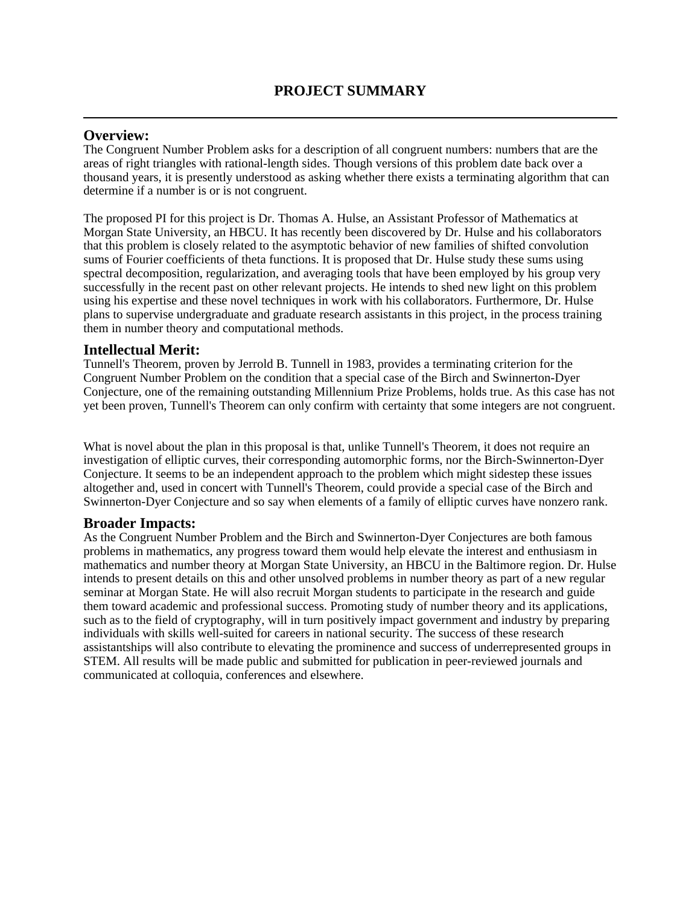#### **Overview:**

The Congruent Number Problem asks for a description of all congruent numbers: numbers that are the areas of right triangles with rational-length sides. Though versions of this problem date back over a thousand years, it is presently understood as asking whether there exists a terminating algorithm that can determine if a number is or is not congruent.

The proposed PI for this project is Dr. Thomas A. Hulse, an Assistant Professor of Mathematics at Morgan State University, an HBCU. It has recently been discovered by Dr. Hulse and his collaborators that this problem is closely related to the asymptotic behavior of new families of shifted convolution sums of Fourier coefficients of theta functions. It is proposed that Dr. Hulse study these sums using spectral decomposition, regularization, and averaging tools that have been employed by his group very successfully in the recent past on other relevant projects. He intends to shed new light on this problem using his expertise and these novel techniques in work with his collaborators. Furthermore, Dr. Hulse plans to supervise undergraduate and graduate research assistants in this project, in the process training them in number theory and computational methods.

### **Intellectual Merit:**

Tunnell's Theorem, proven by Jerrold B. Tunnell in 1983, provides a terminating criterion for the Congruent Number Problem on the condition that a special case of the Birch and Swinnerton-Dyer Conjecture, one of the remaining outstanding Millennium Prize Problems, holds true. As this case has not yet been proven, Tunnell's Theorem can only confirm with certainty that some integers are not congruent.

What is novel about the plan in this proposal is that, unlike Tunnell's Theorem, it does not require an investigation of elliptic curves, their corresponding automorphic forms, nor the Birch-Swinnerton-Dyer Conjecture. It seems to be an independent approach to the problem which might sidestep these issues altogether and, used in concert with Tunnell's Theorem, could provide a special case of the Birch and Swinnerton-Dyer Conjecture and so say when elements of a family of elliptic curves have nonzero rank.

### **Broader Impacts:**

As the Congruent Number Problem and the Birch and Swinnerton-Dyer Conjectures are both famous problems in mathematics, any progress toward them would help elevate the interest and enthusiasm in mathematics and number theory at Morgan State University, an HBCU in the Baltimore region. Dr. Hulse intends to present details on this and other unsolved problems in number theory as part of a new regular seminar at Morgan State. He will also recruit Morgan students to participate in the research and guide them toward academic and professional success. Promoting study of number theory and its applications, such as to the field of cryptography, will in turn positively impact government and industry by preparing individuals with skills well-suited for careers in national security. The success of these research assistantships will also contribute to elevating the prominence and success of underrepresented groups in STEM. All results will be made public and submitted for publication in peer-reviewed journals and communicated at colloquia, conferences and elsewhere.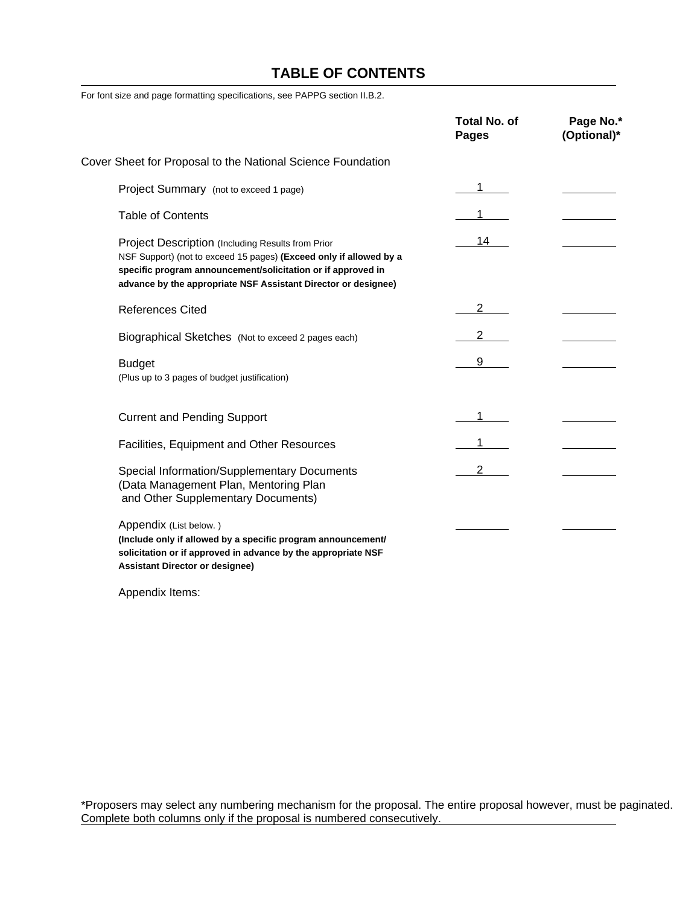### **TABLE OF CONTENTS**

For font size and page formatting specifications, see PAPPG section II.B.2.

|                                                                                                                                                                                                                                                           | <b>Total No. of</b><br>Pages | Page No.*<br>(Optional)* |
|-----------------------------------------------------------------------------------------------------------------------------------------------------------------------------------------------------------------------------------------------------------|------------------------------|--------------------------|
| Cover Sheet for Proposal to the National Science Foundation                                                                                                                                                                                               |                              |                          |
| Project Summary (not to exceed 1 page)                                                                                                                                                                                                                    |                              |                          |
| <b>Table of Contents</b>                                                                                                                                                                                                                                  |                              |                          |
| Project Description (Including Results from Prior<br>NSF Support) (not to exceed 15 pages) (Exceed only if allowed by a<br>specific program announcement/solicitation or if approved in<br>advance by the appropriate NSF Assistant Director or designee) | 14                           |                          |
| <b>References Cited</b>                                                                                                                                                                                                                                   | 2                            |                          |
| Biographical Sketches (Not to exceed 2 pages each)                                                                                                                                                                                                        |                              |                          |
| <b>Budget</b><br>(Plus up to 3 pages of budget justification)                                                                                                                                                                                             | 9                            |                          |
| <b>Current and Pending Support</b>                                                                                                                                                                                                                        |                              |                          |
| Facilities, Equipment and Other Resources                                                                                                                                                                                                                 |                              |                          |
| Special Information/Supplementary Documents<br>(Data Management Plan, Mentoring Plan<br>and Other Supplementary Documents)                                                                                                                                |                              |                          |
| Appendix (List below.)<br>(Include only if allowed by a specific program announcement/<br>solicitation or if approved in advance by the appropriate NSF<br><b>Assistant Director or designee)</b>                                                         |                              |                          |

Appendix Items:

\*Proposers may select any numbering mechanism for the proposal. The entire proposal however, must be paginated. Complete both columns only if the proposal is numbered consecutively.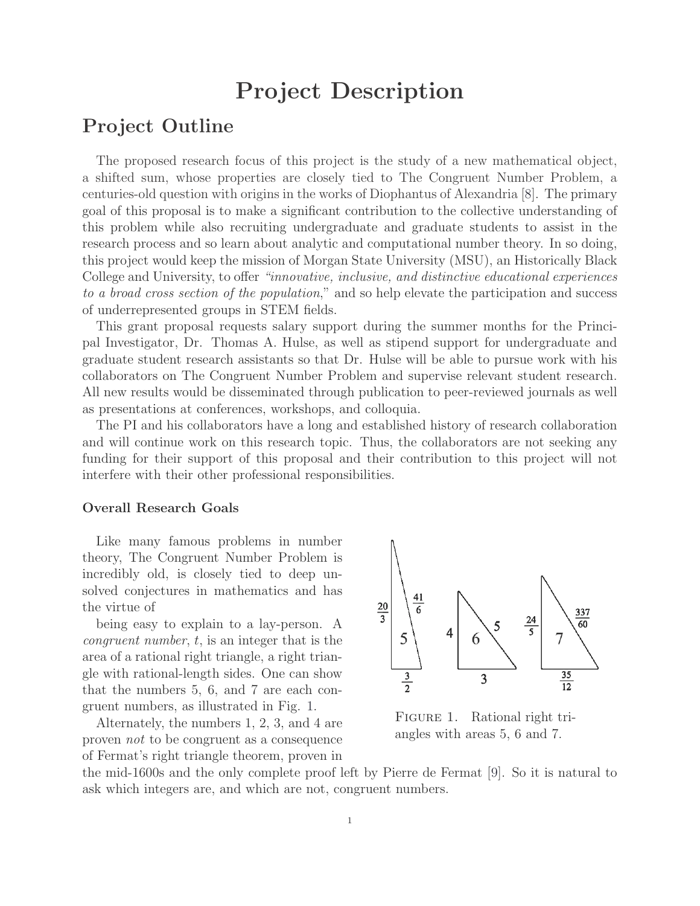# **Project Description**

### **Project Outline**

The proposed research focus of this project is the study of a new mathematical object, a shifted sum, whose properties are closely tied to The Congruent Number Problem, a centuries-old question with origins in the works of Diophantus of Alexandria [8]. The primary goal of this proposal is to make a significant contribution to the collective understanding of this problem while also recruiting undergraduate and graduate students to assist in the research process and so learn about analytic and computational number theory. In so doing, this project would keep the mission of Morgan State University (MSU), an Historically Black College and University, to offer *"innovative, inclusive, and distinctive educational experiences to a broad cross section of the population*," and so help elevate the participation and success of underrepresented groups in STEM fields.

This grant proposal requests salary support during the summer months for the Principal Investigator, Dr. Thomas A. Hulse, as well as stipend support for undergraduate and graduate student research assistants so that Dr. Hulse will be able to pursue work with his collaborators on The Congruent Number Problem and supervise relevant student research. All new results would be disseminated through publication to peer-reviewed journals as well as presentations at conferences, workshops, and colloquia.

The PI and his collaborators have a long and established history of research collaboration and will continue work on this research topic. Thus, the collaborators are not seeking any funding for their support of this proposal and their contribution to this project will not interfere with their other professional responsibilities.

#### **Overall Research Goals**

Like many famous problems in number theory, The Congruent Number Problem is incredibly old, is closely tied to deep unsolved conjectures in mathematics and has the virtue of

being easy to explain to a lay-person. A *congruent number*, t, is an integer that is the area of a rational right triangle, a right triangle with rational-length sides. One can show that the numbers 5, 6, and 7 are each congruent numbers, as illustrated in Fig. 1.

Alternately, the numbers 1, 2, 3, and 4 are proven *not* to be congruent as a consequence of Fermat's right triangle theorem, proven in



FIGURE 1. Rational right triangles with areas 5, 6 and 7.

the mid-1600s and the only complete proof left by Pierre de Fermat [9]. So it is natural to ask which integers are, and which are not, congruent numbers.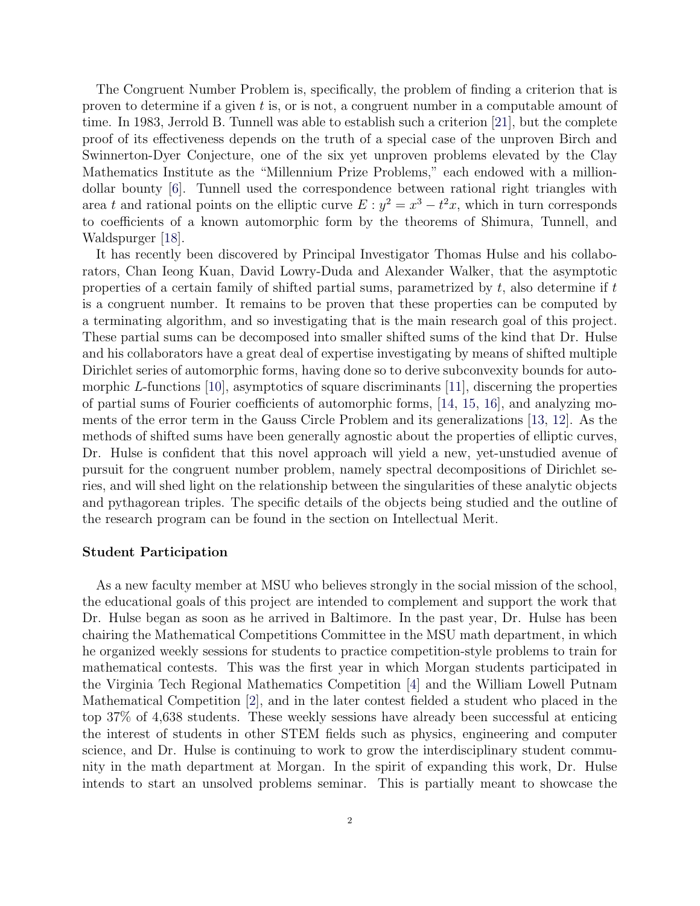The Congruent Number Problem is, specifically, the problem of finding a criterion that is proven to determine if a given  $t$  is, or is not, a congruent number in a computable amount of time. In 1983, Jerrold B. Tunnell was able to establish such a criterion [21], but the complete proof of its effectiveness depends on the truth of a special case of the unproven Birch and Swinnerton-Dyer Conjecture, one of the six yet unproven problems elevated by the Clay Mathematics Institute as the "Millennium Prize Problems," each endowed with a milliondollar bounty [6]. Tunnell used the correspondence between rational right triangles with area t and rational points on the elliptic curve  $E: y^2 = x^3 - t^2x$ , which in turn corresponds to coefficients of a known automorphic form by the theorems of Shimura, Tunnell, and Waldspurger [18].

It has recently been discovered by Principal Investigator Thomas Hulse and his collaborators, Chan Ieong Kuan, David Lowry-Duda and Alexander Walker, that the asymptotic properties of a certain family of shifted partial sums, parametrized by  $t$ , also determine if  $t$ is a congruent number. It remains to be proven that these properties can be computed by a terminating algorithm, and so investigating that is the main research goal of this project. These partial sums can be decomposed into smaller shifted sums of the kind that Dr. Hulse and his collaborators have a great deal of expertise investigating by means of shifted multiple Dirichlet series of automorphic forms, having done so to derive subconvexity bounds for automorphic L-functions  $[10]$ , asymptotics of square discriminants  $[11]$ , discerning the properties of partial sums of Fourier coefficients of automorphic forms, [14, 15, 16], and analyzing moments of the error term in the Gauss Circle Problem and its generalizations [13, 12]. As the methods of shifted sums have been generally agnostic about the properties of elliptic curves, Dr. Hulse is confident that this novel approach will yield a new, yet-unstudied avenue of pursuit for the congruent number problem, namely spectral decompositions of Dirichlet series, and will shed light on the relationship between the singularities of these analytic objects and pythagorean triples. The specific details of the objects being studied and the outline of the research program can be found in the section on Intellectual Merit.

#### **Student Participation**

As a new faculty member at MSU who believes strongly in the social mission of the school, the educational goals of this project are intended to complement and support the work that Dr. Hulse began as soon as he arrived in Baltimore. In the past year, Dr. Hulse has been chairing the Mathematical Competitions Committee in the MSU math department, in which he organized weekly sessions for students to practice competition-style problems to train for mathematical contests. This was the first year in which Morgan students participated in the Virginia Tech Regional Mathematics Competition [4] and the William Lowell Putnam Mathematical Competition [2], and in the later contest fielded a student who placed in the top 37% of 4,638 students. These weekly sessions have already been successful at enticing the interest of students in other STEM fields such as physics, engineering and computer science, and Dr. Hulse is continuing to work to grow the interdisciplinary student community in the math department at Morgan. In the spirit of expanding this work, Dr. Hulse intends to start an unsolved problems seminar. This is partially meant to showcase the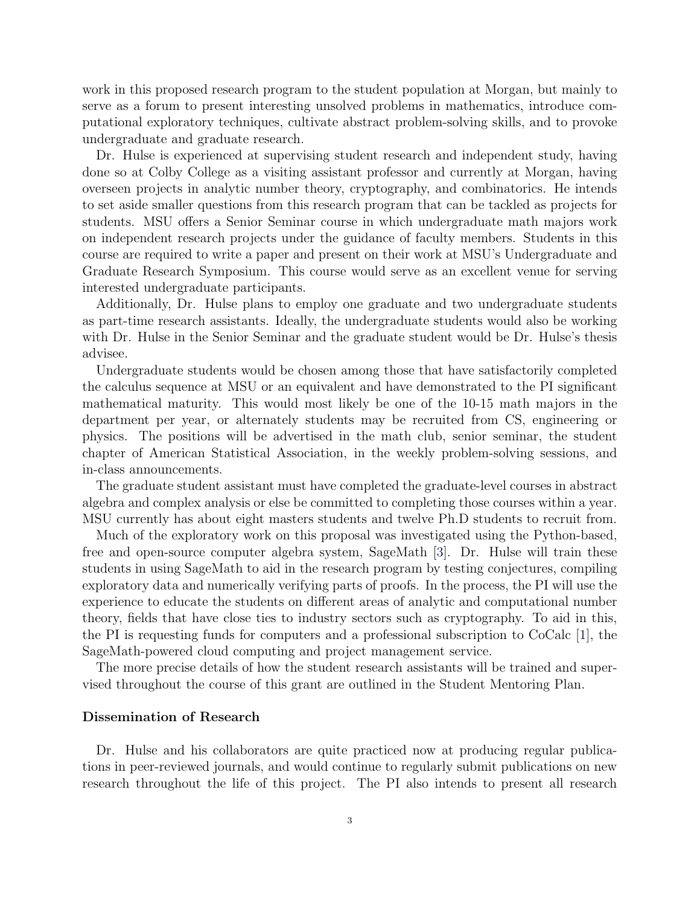work in this proposed research program to the student population at Morgan, but mainly to serve as a forum to present interesting unsolved problems in mathematics, introduce computational exploratory techniques, cultivate abstract problem-solving skills, and to provoke undergraduate and graduate research.

Dr. Hulse is experienced at supervising student research and independent study, having done so at Colby College as a visiting assistant professor and currently at Morgan, having overseen projects in analytic number theory, cryptography, and combinatorics. He intends to set aside smaller questions from this research program that can be tackled as projects for students. MSU offers a Senior Seminar course in which undergraduate math majors work on independent research projects under the guidance of faculty members. Students in this course are required to write a paper and present on their work at MSU's Undergraduate and Graduate Research Symposium. This course would serve as an excellent venue for serving interested undergraduate participants.

Additionally, Dr. Hulse plans to employ one graduate and two undergraduate students as part-time research assistants. Ideally, the undergraduate students would also be working with Dr. Hulse in the Senior Seminar and the graduate student would be Dr. Hulse's thesis advisee.

Undergraduate students would be chosen among those that have satisfactorily completed the calculus sequence at MSU or an equivalent and have demonstrated to the PI significant mathematical maturity. This would most likely be one of the 10-15 math majors in the department per year, or alternately students may be recruited from CS, engineering or physics. The positions will be advertised in the math club, senior seminar, the student chapter of American Statistical Association, in the weekly problem-solving sessions, and in-class announcements.

The graduate student assistant must have completed the graduate-level courses in abstract algebra and complex analysis or else be committed to completing those courses within a year. MSU currently has about eight masters students and twelve Ph.D students to recruit from.

Much of the exploratory work on this proposal was investigated using the Python-based, free and open-source computer algebra system, SageMath [3]. Dr. Hulse will train these students in using SageMath to aid in the research program by testing conjectures, compiling exploratory data and numerically verifying parts of proofs. In the process, the PI will use the experience to educate the students on different areas of analytic and computational number theory, fields that have close ties to industry sectors such as cryptography. To aid in this, the PI is requesting funds for computers and a professional subscription to CoCalc [1], the SageMath-powered cloud computing and project management service.

The more precise details of how the student research assistants will be trained and supervised throughout the course of this grant are outlined in the Student Mentoring Plan.

#### **Dissemination of Research**

Dr. Hulse and his collaborators are quite practiced now at producing regular publications in peer-reviewed journals, and would continue to regularly submit publications on new research throughout the life of this project. The PI also intends to present all research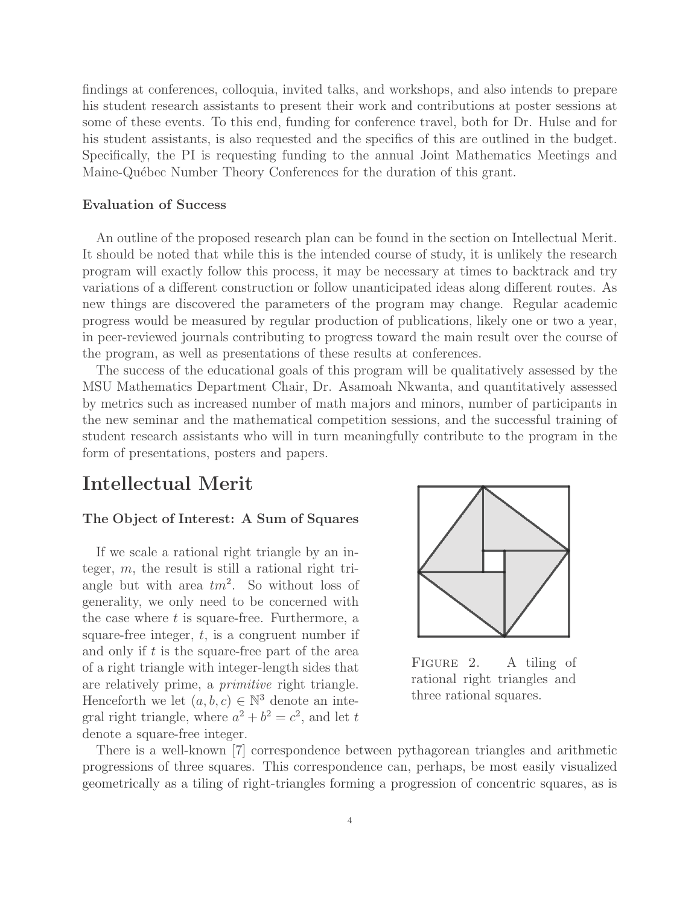findings at conferences, colloquia, invited talks, and workshops, and also intends to prepare his student research assistants to present their work and contributions at poster sessions at some of these events. To this end, funding for conference travel, both for Dr. Hulse and for his student assistants, is also requested and the specifics of this are outlined in the budget. Specifically, the PI is requesting funding to the annual Joint Mathematics Meetings and Maine-Québec Number Theory Conferences for the duration of this grant.

#### **Evaluation of Success**

An outline of the proposed research plan can be found in the section on Intellectual Merit. It should be noted that while this is the intended course of study, it is unlikely the research program will exactly follow this process, it may be necessary at times to backtrack and try variations of a different construction or follow unanticipated ideas along different routes. As new things are discovered the parameters of the program may change. Regular academic progress would be measured by regular production of publications, likely one or two a year, in peer-reviewed journals contributing to progress toward the main result over the course of the program, as well as presentations of these results at conferences.

The success of the educational goals of this program will be qualitatively assessed by the MSU Mathematics Department Chair, Dr. Asamoah Nkwanta, and quantitatively assessed by metrics such as increased number of math majors and minors, number of participants in the new seminar and the mathematical competition sessions, and the successful training of student research assistants who will in turn meaningfully contribute to the program in the form of presentations, posters and papers.

### **Intellectual Merit**

#### **The Object of Interest: A Sum of Squares**

If we scale a rational right triangle by an integer,  $m$ , the result is still a rational right triangle but with area  $tm^2$ . So without loss of generality, we only need to be concerned with the case where  $t$  is square-free. Furthermore, a square-free integer,  $t$ , is a congruent number if and only if  $t$  is the square-free part of the area of a right triangle with integer-length sides that are relatively prime, a *primitive* right triangle. Henceforth we let  $(a, b, c) \in \mathbb{N}^3$  denote an integral right triangle, where  $a^2 + b^2 = c^2$ , and let t denote a square-free integer.



Figure 2. A tiling of rational right triangles and three rational squares.

There is a well-known [7] correspondence between pythagorean triangles and arithmetic progressions of three squares. This correspondence can, perhaps, be most easily visualized geometrically as a tiling of right-triangles forming a progression of concentric squares, as is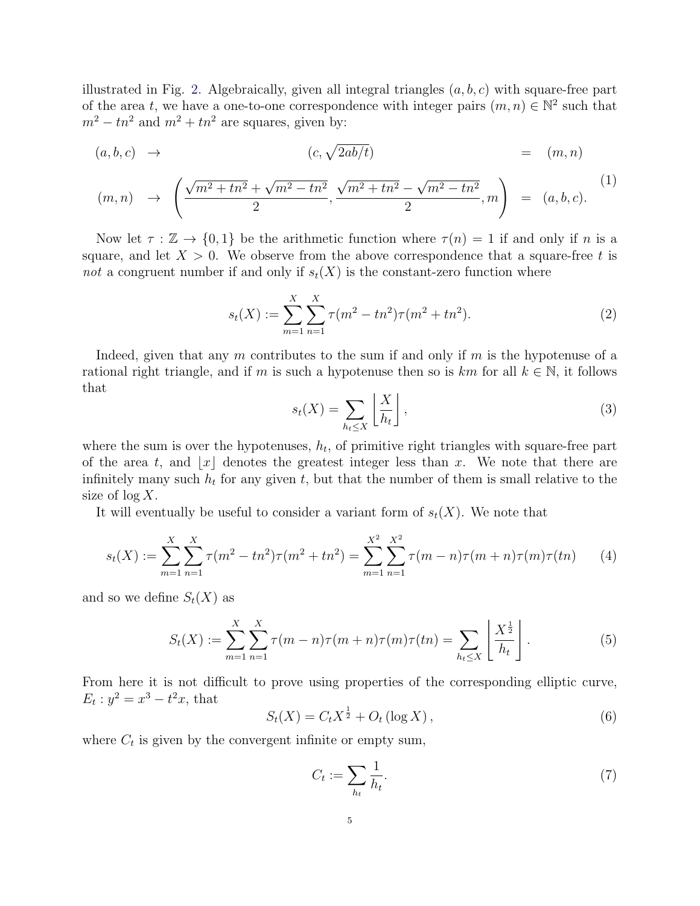illustrated in Fig. 2. Algebraically, given all integral triangles  $(a, b, c)$  with square-free part of the area t, we have a one-to-one correspondence with integer pairs  $(m, n) \in \mathbb{N}^2$  such that  $m^2 - tn^2$  and  $m^2 + tn^2$  are squares, given by:

$$
(a, b, c) \rightarrow (c, \sqrt{2ab/t}) = (m, n)
$$

$$
(m,n) \rightarrow \left(\frac{\sqrt{m^2 + tn^2} + \sqrt{m^2 - tn^2}}{2}, \frac{\sqrt{m^2 + tn^2} - \sqrt{m^2 - tn^2}}{2}, m\right) = (a, b, c).
$$
 (1)

Now let  $\tau : \mathbb{Z} \to \{0,1\}$  be the arithmetic function where  $\tau(n) = 1$  if and only if n is a square, and let  $X > 0$ . We observe from the above correspondence that a square-free t is *not* a congruent number if and only if  $s_t(X)$  is the constant-zero function where

$$
s_t(X) := \sum_{m=1}^{X} \sum_{n=1}^{X} \tau(m^2 - tn^2) \tau(m^2 + tn^2).
$$
 (2)

Indeed, given that any m contributes to the sum if and only if m is the hypotenuse of a rational right triangle, and if m is such a hypotenuse then so is  $km$  for all  $k \in \mathbb{N}$ , it follows that

$$
s_t(X) = \sum_{h_t \le X} \left\lfloor \frac{X}{h_t} \right\rfloor,\tag{3}
$$

where the sum is over the hypotenuses,  $h_t$ , of primitive right triangles with square-free part of the area t, and |x| denotes the greatest integer less than x. We note that there are infinitely many such  $h_t$  for any given t, but that the number of them is small relative to the size of  $\log X$ .

It will eventually be useful to consider a variant form of  $s_t(X)$ . We note that

$$
s_t(X) := \sum_{m=1}^{X} \sum_{n=1}^{X} \tau(m^2 - tn^2) \tau(m^2 + tn^2) = \sum_{m=1}^{X^2} \sum_{n=1}^{X^2} \tau(m-n) \tau(m+n) \tau(m) \tau(tn)
$$
 (4)

and so we define  $S_t(X)$  as

$$
S_t(X) := \sum_{m=1}^{X} \sum_{n=1}^{X} \tau(m-n)\tau(m+n)\tau(m)\tau(t) = \sum_{h_t \le X} \left[ \frac{X^{\frac{1}{2}}}{h_t} \right].
$$
 (5)

From here it is not difficult to prove using properties of the corresponding elliptic curve,  $E_t: y^2 = x^3 - t^2x$ , that

$$
S_t(X) = C_t X^{\frac{1}{2}} + O_t (\log X), \qquad (6)
$$

where  $C_t$  is given by the convergent infinite or empty sum,

$$
C_t := \sum_{h_t} \frac{1}{h_t}.\tag{7}
$$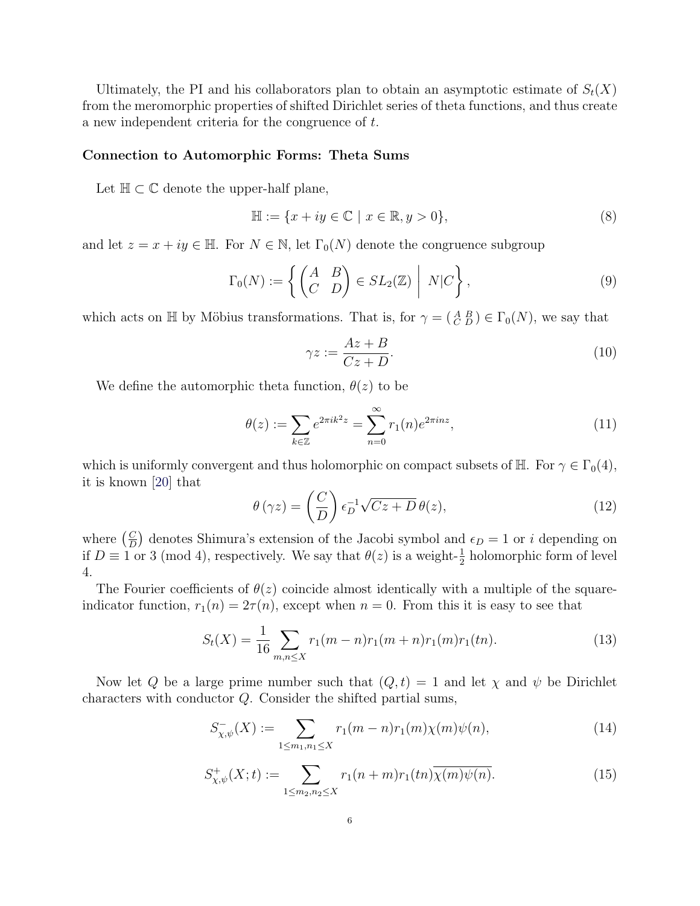Ultimately, the PI and his collaborators plan to obtain an asymptotic estimate of  $S_t(X)$ from the meromorphic properties of shifted Dirichlet series of theta functions, and thus create a new independent criteria for the congruence of t.

#### **Connection to Automorphic Forms: Theta Sums**

Let  $\mathbb{H} \subset \mathbb{C}$  denote the upper-half plane,

$$
\mathbb{H} := \{ x + iy \in \mathbb{C} \mid x \in \mathbb{R}, y > 0 \},\tag{8}
$$

and let  $z = x + iy \in \mathbb{H}$ . For  $N \in \mathbb{N}$ , let  $\Gamma_0(N)$  denote the congruence subgroup

$$
\Gamma_0(N) := \left\{ \begin{pmatrix} A & B \\ C & D \end{pmatrix} \in SL_2(\mathbb{Z}) \middle| N|C \right\},\tag{9}
$$

which acts on  $\mathbb H$  by Möbius transformations. That is, for  $\gamma = (\begin{smallmatrix} A & B \\ C & D \end{smallmatrix}) \in \Gamma_0(N)$ , we say that

$$
\gamma z := \frac{Az + B}{Cz + D}.\tag{10}
$$

We define the automorphic theta function,  $\theta(z)$  to be

$$
\theta(z) := \sum_{k \in \mathbb{Z}} e^{2\pi i k^2 z} = \sum_{n=0}^{\infty} r_1(n) e^{2\pi i n z},\tag{11}
$$

which is uniformly convergent and thus holomorphic on compact subsets of  $\mathbb{H}$ . For  $\gamma \in \Gamma_0(4)$ , it is known [20] that

$$
\theta(\gamma z) = \left(\frac{C}{D}\right) \epsilon_D^{-1} \sqrt{Cz + D} \theta(z),\tag{12}
$$

where  $\left(\frac{C}{D}\right)$  denotes Shimura's extension of the Jacobi symbol and  $\epsilon_D = 1$  or i depending on if  $D \equiv 1$  or 3 (mod 4), respectively. We say that  $\theta(z)$  is a weight- $\frac{1}{2}$  holomorphic form of level 4.

The Fourier coefficients of  $\theta(z)$  coincide almost identically with a multiple of the squareindicator function,  $r_1(n)=2\tau (n)$ , except when  $n = 0$ . From this it is easy to see that

$$
S_t(X) = \frac{1}{16} \sum_{m,n \le X} r_1(m-n)r_1(m+n)r_1(m)r_1(tn). \tag{13}
$$

Now let Q be a large prime number such that  $(Q, t) = 1$  and let  $\chi$  and  $\psi$  be Dirichlet characters with conductor Q. Consider the shifted partial sums,

$$
S_{\chi,\psi}^{-}(X) := \sum_{1 \le m_1, n_1 \le X} r_1(m-n)r_1(m)\chi(m)\psi(n), \qquad (14)
$$

$$
S_{\chi,\psi}^+(X;t) := \sum_{1 \le m_2, n_2 \le X} r_1(n+m)r_1(tn)\overline{\chi(m)\psi(n)}.\tag{15}
$$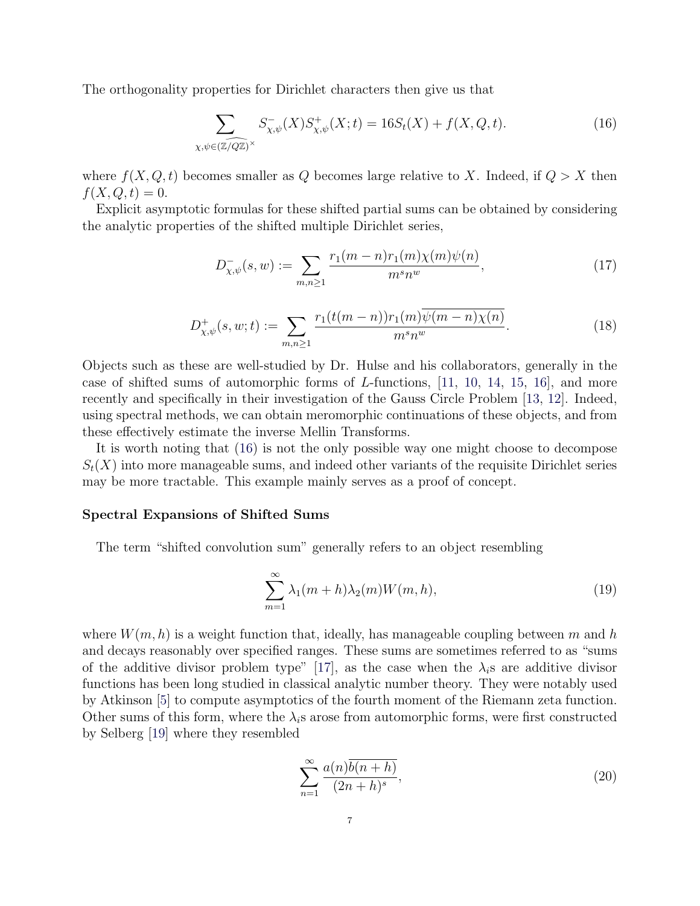The orthogonality properties for Dirichlet characters then give us that

$$
\sum_{\chi,\psi \in (\widehat{\mathbb{Z}/Q\mathbb{Z}})^{\times}} S_{\chi,\psi}^{-}(X) S_{\chi,\psi}^{+}(X; t) = 16S_{t}(X) + f(X, Q, t).
$$
 (16)

where  $f(X, Q, t)$  becomes smaller as Q becomes large relative to X. Indeed, if  $Q > X$  then  $f(X, Q, t) = 0.$ 

Explicit asymptotic formulas for these shifted partial sums can be obtained by considering the analytic properties of the shifted multiple Dirichlet series,

$$
D_{\chi,\psi}^-(s,w) := \sum_{m,n \ge 1} \frac{r_1(m-n)r_1(m)\chi(m)\psi(n)}{m^s n^w},\tag{17}
$$

$$
D_{\chi,\psi}^+(s,w;t) := \sum_{m,n \ge 1} \frac{r_1(t(m-n))r_1(m)\overline{\psi(m-n)\chi(n)}}{m^s n^w}.
$$
 (18)

Objects such as these are well-studied by Dr. Hulse and his collaborators, generally in the case of shifted sums of automorphic forms of L-functions, [11, 10, 14, 15, 16], and more recently and specifically in their investigation of the Gauss Circle Problem [13, 12]. Indeed, using spectral methods, we can obtain meromorphic continuations of these objects, and from these effectively estimate the inverse Mellin Transforms.

It is worth noting that (16) is not the only possible way one might choose to decompose  $S_t(X)$  into more manageable sums, and indeed other variants of the requisite Dirichlet series may be more tractable. This example mainly serves as a proof of concept.

#### **Spectral Expansions of Shifted Sums**

The term "shifted convolution sum" generally refers to an object resembling

$$
\sum_{m=1}^{\infty} \lambda_1(m+h)\lambda_2(m)W(m,h),\tag{19}
$$

where  $W(m, h)$  is a weight function that, ideally, has manageable coupling between m and h and decays reasonably over specified ranges. These sums are sometimes referred to as "sums of the additive divisor problem type" [17], as the case when the  $\lambda_i$ s are additive divisor functions has been long studied in classical analytic number theory. They were notably used by Atkinson [5] to compute asymptotics of the fourth moment of the Riemann zeta function. Other sums of this form, where the  $\lambda_i$ s arose from automorphic forms, were first constructed by Selberg [19] where they resembled

$$
\sum_{n=1}^{\infty} \frac{a(n)\overline{b(n+h)}}{(2n+h)^s},\tag{20}
$$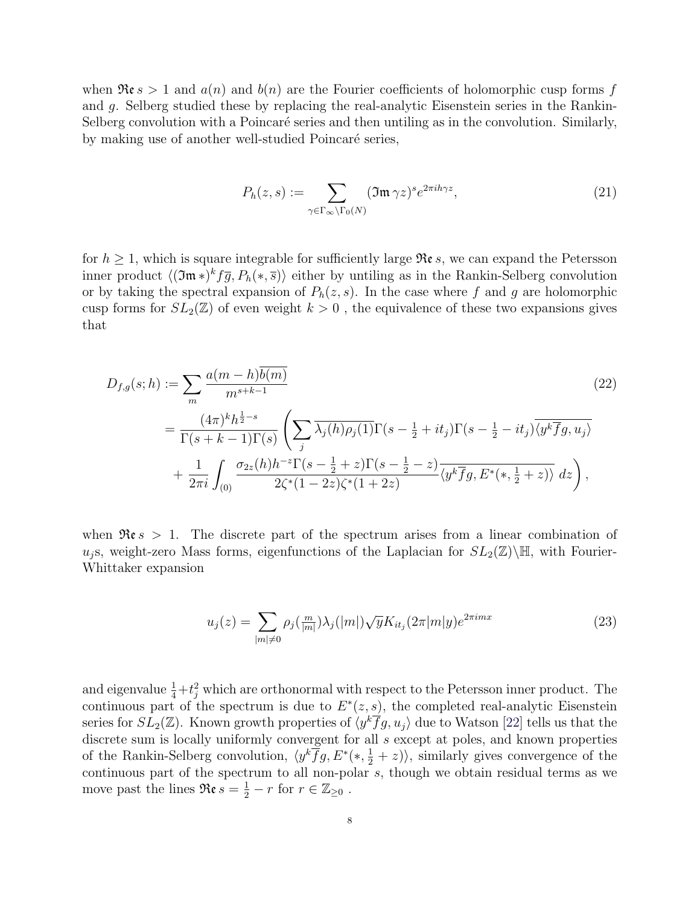when  $\Re \epsilon s > 1$  and  $a(n)$  and  $b(n)$  are the Fourier coefficients of holomorphic cusp forms f and g. Selberg studied these by replacing the real-analytic Eisenstein series in the Rankin-Selberg convolution with a Poincaré series and then untiling as in the convolution. Similarly, by making use of another well-studied Poincaré series,

$$
P_h(z,s) := \sum_{\gamma \in \Gamma_\infty \backslash \Gamma_0(N)} (\mathfrak{Im}\,\gamma z)^s e^{2\pi i h \gamma z},\tag{21}
$$

for  $h \geq 1$ , which is square integrable for sufficiently large  $\Re \varepsilon s$ , we can expand the Petersson inner product  $\langle (\mathfrak{Im}*)^k f \overline{g}, P_h(*, \overline{s}) \rangle$  either by untiling as in the Rankin-Selberg convolution or by taking the spectral expansion of  $P_h(z, s)$ . In the case where f and g are holomorphic cusp forms for  $SL_2(\mathbb{Z})$  of even weight  $k > 0$ , the equivalence of these two expansions gives that

$$
D_{f,g}(s; h) := \sum_{m} \frac{a(m - h)\overline{b(m)}}{m^{s+k-1}} \tag{22}
$$
\n
$$
= \frac{(4\pi)^{k}h^{\frac{1}{2}-s}}{\Gamma(s+k-1)\Gamma(s)} \left(\sum_{j} \overline{\lambda_{j}(h)\rho_{j}(1)}\Gamma(s-\frac{1}{2}+it_{j})\Gamma(s-\frac{1}{2}-it_{j})\overline{\langle y^{k}\overline{f}g, u_{j}\rangle} + \frac{1}{2\pi i} \int_{(0)} \frac{\sigma_{2z}(h)h^{-z}\Gamma(s-\frac{1}{2}+z)\Gamma(s-\frac{1}{2}-z)}{2\zeta^{*}(1-2z)\zeta^{*}(1+2z)} \overline{\langle y^{k}\overline{f}g, E^{*}(*,\frac{1}{2}+z)\rangle} \, dz\right),
$$
\n(22)

when  $\Re \epsilon s > 1$ . The discrete part of the spectrum arises from a linear combination of  $u_i$ s, weight-zero Mass forms, eigenfunctions of the Laplacian for  $SL_2(\mathbb{Z})\backslash\mathbb{H}$ , with Fourier-Whittaker expansion

$$
u_j(z) = \sum_{|m| \neq 0} \rho_j(\frac{m}{|m|}) \lambda_j(|m|) \sqrt{y} K_{it_j}(2\pi |m|y) e^{2\pi imx}
$$
\n(23)

and eigenvalue  $\frac{1}{4} + t_j^2$  which are orthonormal with respect to the Petersson inner product. The continuous part of the goodrum is due to  $F^*(\infty)$ , the completed real analytic Fiscopton continuous part of the spectrum is due to  $E^*(z, s)$ , the completed real-analytic Eisenstein series for  $SL_2(\mathbb{Z})$ . Known growth properties of  $\langle y^k \overline{f}g, u_j \rangle$  due to Watson [22] tells us that the discrete sum is locally uniformly convergent for all  $s$  except at poles, and known properties of the Rankin-Selberg convolution,  $\langle y^k \overline{f}g, E^*(*, \frac{1}{2} + z) \rangle$ , similarly gives convergence of the continuous part of the spectrum to all non-polar  $\overline{s}$ , though we obtain residual terms as we move past the lines  $\Re \varepsilon s = \frac{1}{2} - r$  for  $r \in \mathbb{Z}_{\geq 0}$ .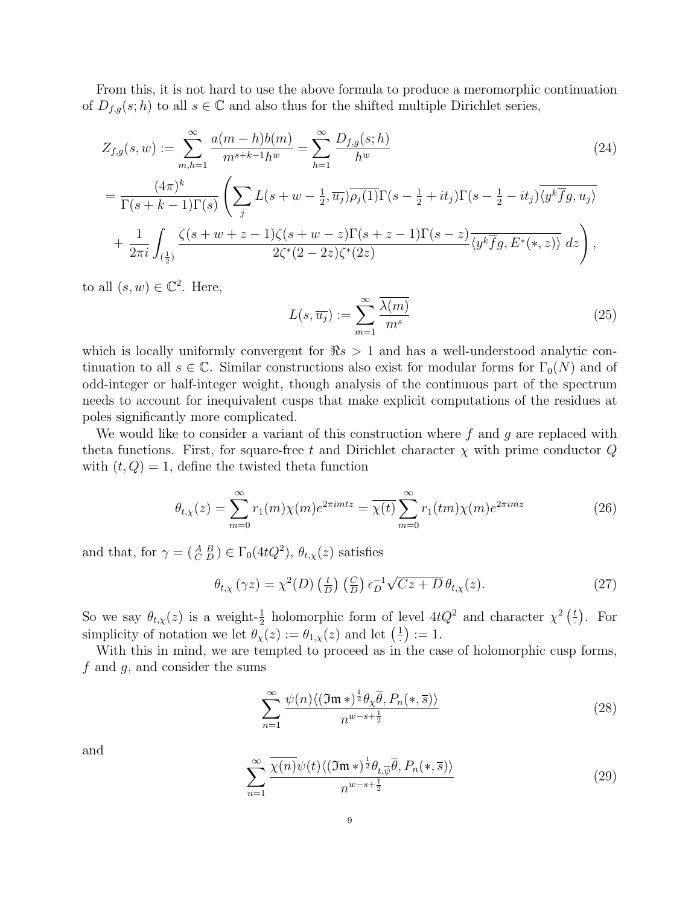From this, it is not hard to use the above formula to produce a meromorphic continuation of  $D_{f,q}(s;h)$  to all  $s \in \mathbb{C}$  and also thus for the shifted multiple Dirichlet series,

$$
Z_{f,g}(s,w) := \sum_{m,h=1}^{\infty} \frac{a(m-h)b(m)}{m^{s+k-1}h^w} = \sum_{h=1}^{\infty} \frac{D_{f,g}(s;h)}{h^w}
$$
(24)

$$
= \frac{(4\pi)^k}{\Gamma(s+k-1)\Gamma(s)} \left( \sum_j L(s+w-\frac{1}{2},\overline{u_j}) \overline{\rho_j(1)} \Gamma(s-\frac{1}{2}+it_j) \Gamma(s-\frac{1}{2}-it_j) \overline{\langle y^k \overline{f}g, u_j \rangle} + \frac{1}{2\pi i} \int_{(\frac{1}{2})} \frac{\zeta(s+w+z-1)\zeta(s+w-z) \Gamma(s+z-1) \Gamma(s-z)}{2\zeta^*(2-2z)\zeta^*(2z)} \overline{\langle y^k \overline{f}g, E^*(*,z) \rangle} dz \right),
$$

to all  $(s, w) \in \mathbb{C}^2$ . Here,

$$
L(s, \overline{u_j}) := \sum_{m=1}^{\infty} \frac{\overline{\lambda(m)}}{m^s}
$$
 (25)

which is locally uniformly convergent for  $\Re s > 1$  and has a well-understood analytic continuation to all  $s \in \mathbb{C}$ . Similar constructions also exist for modular forms for  $\Gamma_0(N)$  and of odd-integer or half-integer weight, though analysis of the continuous part of the spectrum needs to account for inequivalent cusps that make explicit computations of the residues at poles significantly more complicated.

We would like to consider a variant of this construction where  $f$  and  $g$  are replaced with theta functions. First, for square-free t and Dirichlet character  $\chi$  with prime conductor  $Q$ with  $(t, Q) = 1$ , define the twisted theta function

$$
\theta_{t,\chi}(z) = \sum_{m=0}^{\infty} r_1(m)\chi(m)e^{2\pi imtz} = \overline{\chi(t)}\sum_{m=0}^{\infty} r_1(tm)\chi(m)e^{2\pi imz}
$$
 (26)

and that, for  $\gamma = \begin{pmatrix} A & B \\ C & D \end{pmatrix} \in \Gamma_0(4tQ^2)$ ,  $\theta_{t,\chi}(z)$  satisfies

$$
\theta_{t,\chi}(\gamma z) = \chi^2(D) \left(\frac{t}{D}\right) \left(\frac{C}{D}\right) \epsilon_D^{-1} \sqrt{Cz + D} \,\theta_{t,\chi}(z). \tag{27}
$$

So we say  $\theta_{t,x}(z)$  is a weight- $\frac{1}{2}$  holomorphic form of level  $4tQ^2$  and character  $\chi^2(\frac{t}{z})$ . For simplicity of notation we let  $\theta_{\chi}(z) := \theta_{1,\chi}(z)$  and let  $(\frac{1}{z}) := 1$ .

With this in mind, we are tempted to proceed as in the case of holomorphic cusp forms, f and  $q$ , and consider the sums

$$
\sum_{n=1}^{\infty} \frac{\psi(n) \langle (\mathfrak{Im} \ast)^{\frac{1}{2}} \theta_{\chi} \overline{\theta}, P_n(\ast, \overline{s}) \rangle}{n^{w-s+\frac{1}{2}}} \tag{28}
$$

and

$$
\sum_{n=1}^{\infty} \frac{\overline{\chi(n)}\psi(t)\langle(\mathfrak{Im}*)^{\frac{1}{2}}\theta_{t,\overline{\psi}}\overline{\theta},P_n(*,\overline{s})\rangle}{n^{w-s+\frac{1}{2}}}
$$
(29)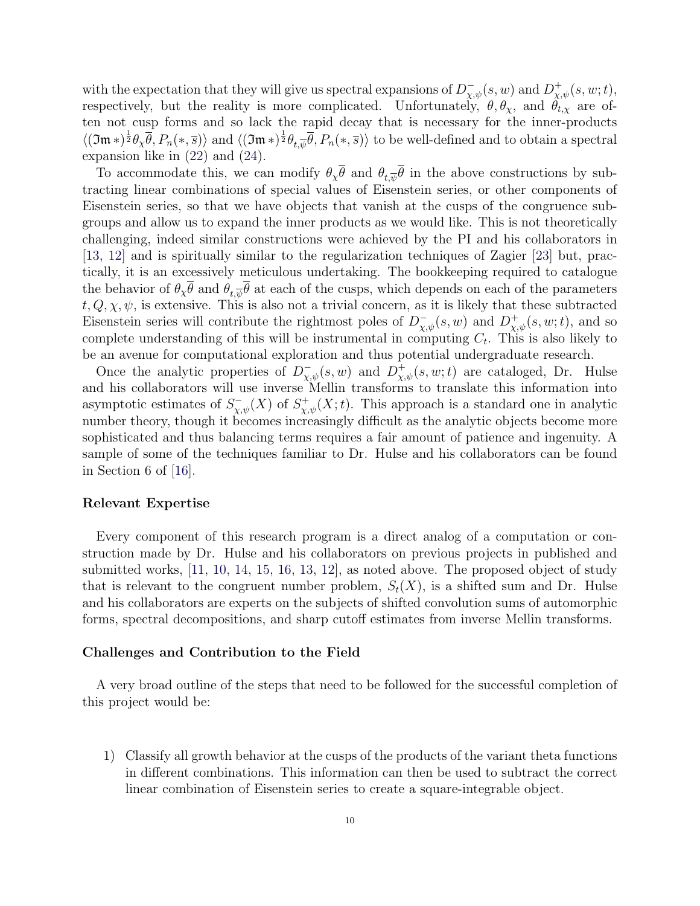with the expectation that they will give us spectral expansions of  $D_{\chi,\psi}^-(s, w)$  and  $D_{\chi,\psi}^+(s, w; t)$ ,<br>respectively, but the reality is more complicated. Unfortunately,  $\theta$ ,  $\theta$ , and  $\theta$ , are of respectively, but the reality is more complicated. Unfortunately,  $\theta$ ,  $\theta_{\chi}$ , and  $\theta_{t,\chi}$  are often not cusp forms and so lack the rapid decay that is necessary for the inner-products  $\langle (\mathfrak{Im}*)^{\frac{1}{2}} \theta_{\chi} \overline{\theta}, P_n(*,\overline{s}) \rangle$  and  $\langle (\mathfrak{Im}*)^{\frac{1}{2}} \theta_{t,\overline{\psi}} \overline{\theta}, P_n(*,\overline{s}) \rangle$  to be well-defined and to obtain a spectral expansion like in (22) and (24) expansion like in (22) and (24).

To accommodate this, we can modify  $\theta_{\chi} \overline{\theta}$  and  $\theta_{t,\overline{\psi}} \overline{\theta}$  in the above constructions by subtracting linear combinations of special values of Eisenstein series, or other components of Eisenstein series, so that we have objects that vanish at the cusps of the congruence subgroups and allow us to expand the inner products as we would like. This is not theoretically challenging, indeed similar constructions were achieved by the PI and his collaborators in [13, 12] and is spiritually similar to the regularization techniques of Zagier [23] but, practically, it is an excessively meticulous undertaking. The bookkeeping required to catalogue the behavior of  $\theta_{\chi} \overline{\theta}$  and  $\theta_{t,\overline{\psi}} \overline{\theta}$  at each of the cusps, which depends on each of the parameters  $t, Q, \chi, \psi$ , is extensive. This is also not a trivial concern, as it is likely that these subtracted Eisenstein series will contribute the rightmost poles of  $D_{\chi,\psi}^-(s,w)$  and  $D_{\chi,\psi}^+(s,w;t)$ , and so<br>complete understanding of this will be instrumental in computing  $C$ . This is also likely to complete understanding of this will be instrumental in computing  $C_t$ . This is also likely to be an avenue for computational exploration and thus potential undergraduate research.

Once the analytic properties of  $D^{-}_{\chi,\psi}(s, w)$  and  $D^{+}_{\chi,\psi}(s, w; t)$  are cataloged, Dr. Hulse<br>d bis collaborators will use inverse Mellin transforms to translate this information into and his collaborators will use inverse Mellin transforms to translate this information into asymptotic estimates of  $S_{\chi,\psi}^-(X)$  of  $S_{\chi,\psi}^+(X;t)$ . This approach is a standard one in analytic<br>number theory though it becomes increasingly difficult as the analytic objects become more number theory, though it becomes increasingly difficult as the analytic objects become more sophisticated and thus balancing terms requires a fair amount of patience and ingenuity. A sample of some of the techniques familiar to Dr. Hulse and his collaborators can be found in Section 6 of [16].

#### **Relevant Expertise**

Every component of this research program is a direct analog of a computation or construction made by Dr. Hulse and his collaborators on previous projects in published and submitted works, [11, 10, 14, 15, 16, 13, 12], as noted above. The proposed object of study that is relevant to the congruent number problem,  $S_t(X)$ , is a shifted sum and Dr. Hulse and his collaborators are experts on the subjects of shifted convolution sums of automorphic forms, spectral decompositions, and sharp cutoff estimates from inverse Mellin transforms.

#### **Challenges and Contribution to the Field**

A very broad outline of the steps that need to be followed for the successful completion of this project would be:

1) Classify all growth behavior at the cusps of the products of the variant theta functions in different combinations. This information can then be used to subtract the correct linear combination of Eisenstein series to create a square-integrable object.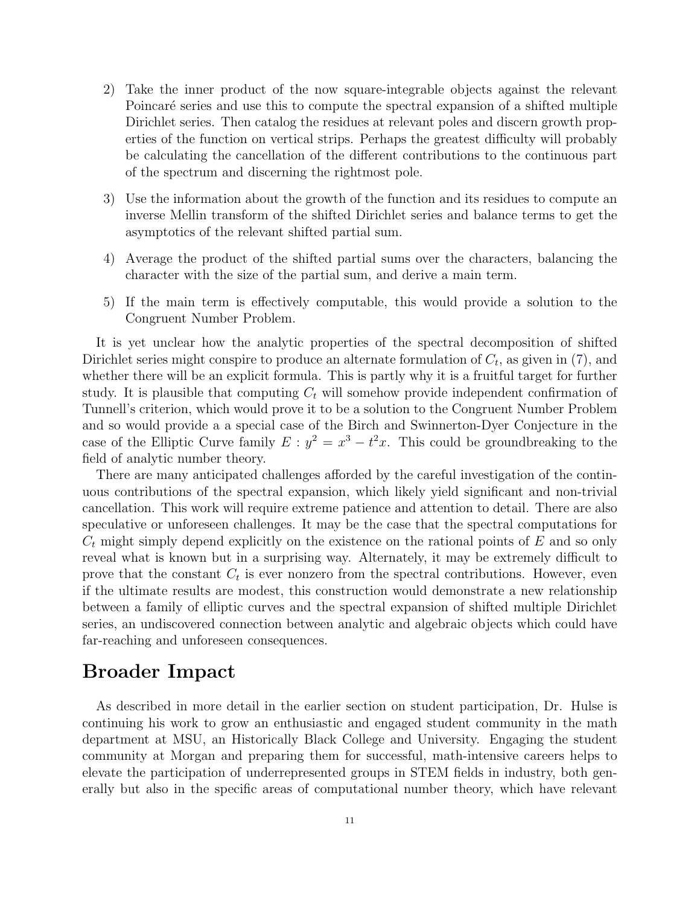- 2) Take the inner product of the now square-integrable objects against the relevant Poincaré series and use this to compute the spectral expansion of a shifted multiple Dirichlet series. Then catalog the residues at relevant poles and discern growth properties of the function on vertical strips. Perhaps the greatest difficulty will probably be calculating the cancellation of the different contributions to the continuous part of the spectrum and discerning the rightmost pole.
- 3) Use the information about the growth of the function and its residues to compute an inverse Mellin transform of the shifted Dirichlet series and balance terms to get the asymptotics of the relevant shifted partial sum.
- 4) Average the product of the shifted partial sums over the characters, balancing the character with the size of the partial sum, and derive a main term.
- 5) If the main term is effectively computable, this would provide a solution to the Congruent Number Problem.

It is yet unclear how the analytic properties of the spectral decomposition of shifted Dirichlet series might conspire to produce an alternate formulation of  $C_t$ , as given in (7), and whether there will be an explicit formula. This is partly why it is a fruitful target for further study. It is plausible that computing  $C_t$  will somehow provide independent confirmation of Tunnell's criterion, which would prove it to be a solution to the Congruent Number Problem and so would provide a a special case of the Birch and Swinnerton-Dyer Conjecture in the case of the Elliptic Curve family  $E : y^2 = x^3 - t^2x$ . This could be groundbreaking to the field of analytic number theory.

There are many anticipated challenges afforded by the careful investigation of the continuous contributions of the spectral expansion, which likely yield significant and non-trivial cancellation. This work will require extreme patience and attention to detail. There are also speculative or unforeseen challenges. It may be the case that the spectral computations for  $C_t$  might simply depend explicitly on the existence on the rational points of E and so only reveal what is known but in a surprising way. Alternately, it may be extremely difficult to prove that the constant  $C_t$  is ever nonzero from the spectral contributions. However, even if the ultimate results are modest, this construction would demonstrate a new relationship between a family of elliptic curves and the spectral expansion of shifted multiple Dirichlet series, an undiscovered connection between analytic and algebraic objects which could have far-reaching and unforeseen consequences.

### **Broader Impact**

As described in more detail in the earlier section on student participation, Dr. Hulse is continuing his work to grow an enthusiastic and engaged student community in the math department at MSU, an Historically Black College and University. Engaging the student community at Morgan and preparing them for successful, math-intensive careers helps to elevate the participation of underrepresented groups in STEM fields in industry, both generally but also in the specific areas of computational number theory, which have relevant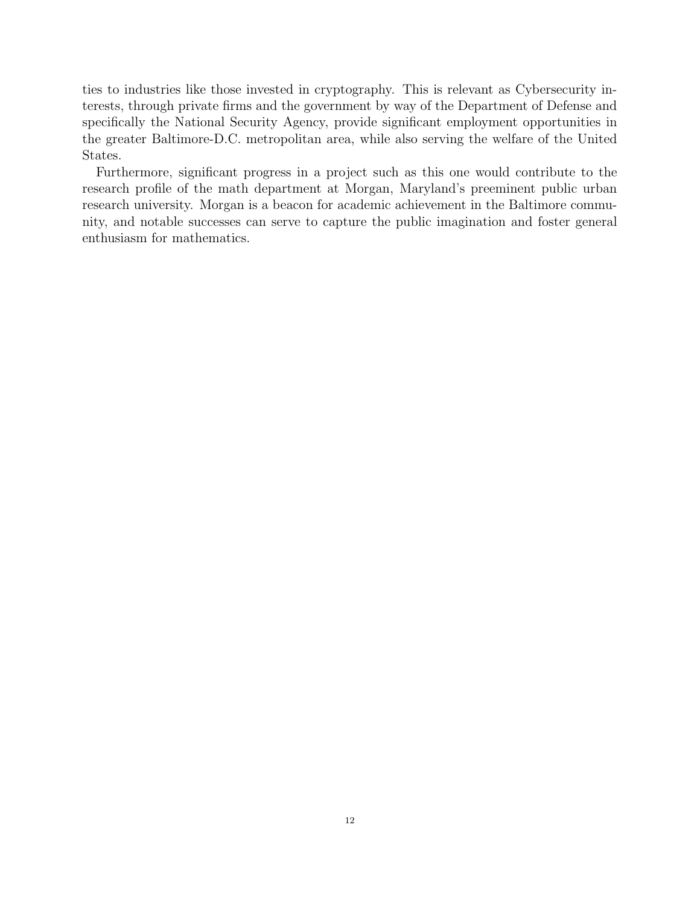ties to industries like those invested in cryptography. This is relevant as Cybersecurity interests, through private firms and the government by way of the Department of Defense and specifically the National Security Agency, provide significant employment opportunities in the greater Baltimore-D.C. metropolitan area, while also serving the welfare of the United States.

Furthermore, significant progress in a project such as this one would contribute to the research profile of the math department at Morgan, Maryland's preeminent public urban research university. Morgan is a beacon for academic achievement in the Baltimore community, and notable successes can serve to capture the public imagination and foster general enthusiasm for mathematics.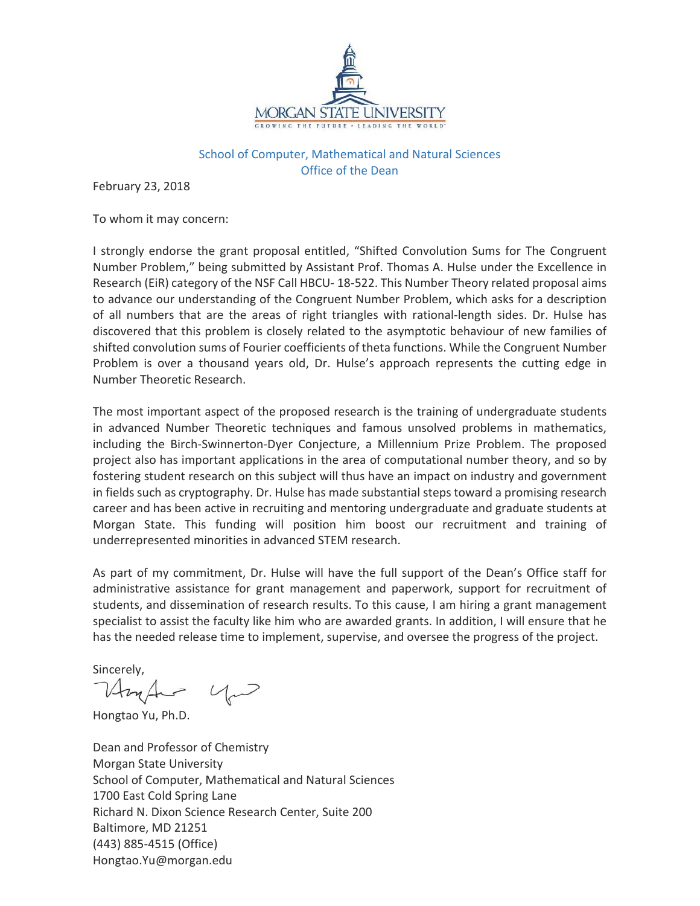

### School of Computer, Mathematical and Natural Sciences Office of the Dean

February 23, 2018

To whom it may concern:

I strongly endorse the grant proposal entitled, "Shifted Convolution Sums for The Congruent Number Problem," being submitted by Assistant Prof. Thomas A. Hulse under the Excellence in Research (EiR) category of the NSF Call HBCU-18-522. This Number Theory related proposal aims to advance our understanding of the Congruent Number Problem, which asks for a description of all numbers that are the areas of right triangles with rational-length sides. Dr. Hulse has discovered that this problem is closely related to the asymptotic behaviour of new families of shifted convolution sums of Fourier coefficients of theta functions. While the Congruent Number Problem is over a thousand years old, Dr. Hulse's approach represents the cutting edge in Number Theoretic Research.

The most important aspect of the proposed research is the training of undergraduate students in advanced Number Theoretic techniques and famous unsolved problems in mathematics, including the Birch-Swinnerton-Dyer Conjecture, a Millennium Prize Problem. The proposed project also has important applications in the area of computational number theory, and so by fostering student research on this subject will thus have an impact on industry and government in fields such as cryptography. Dr. Hulse has made substantial steps toward a promising research career and has been active in recruiting and mentoring undergraduate and graduate students at Morgan State. This funding will position him boost our recruitment and training of underrepresented minorities in advanced STEM research.

As part of my commitment, Dr. Hulse will have the full support of the Dean's Office staff for administrative assistance for grant management and paperwork, support for recruitment of students, and dissemination of research results. To this cause, I am hiring a grant management specialist to assist the faculty like him who are awarded grants. In addition, I will ensure that he has the needed release time to implement, supervise, and oversee the progress of the project.

Sincerelv.

Hongtao Yu, Ph.D.

Dean and Professor of Chemistry Morgan State University School of Computer, Mathematical and Natural Sciences 1700 East Cold Spring Lane Richard N. Dixon Science Research Center, Suite 200 Baltimore, MD 21251 (443) 885-4515 (Office) Hongtao.Yu@morgan.edu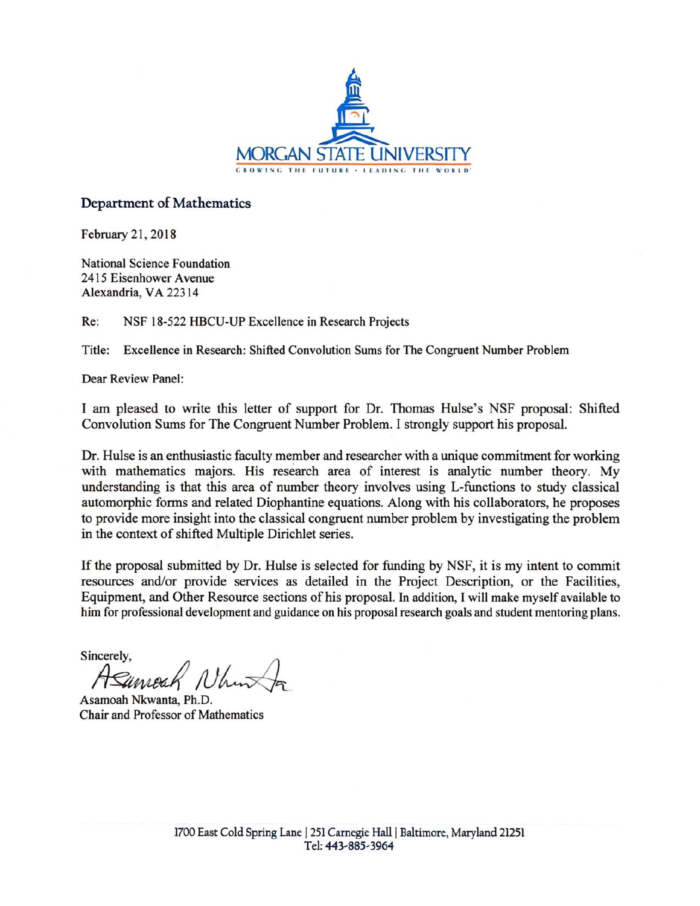

### Department of Mathematics

February 21, 2018

National Science Foundation 2415 Eisenhower Avenue Alexandria, VA 22314

Re: NSF 18-522 HBCU-UP Excellence in Research Projects

Title: Excellence in Research: Shifted Convolution Sums for The Congruent Number Problem

Dear Review Panel:

I am pleased to write this letter of support for Dr. Thomas Hulse's NSF proposal: Shifted Convolution Sums for The Congruent Number Problem. I strongly support his proposal.

Dr. Hulse is an enthusiastic faculty member and researcher with a unique commitment for working with mathematics majors. His research area of interest is analytic number theory. My understanding is that this area of number theory involves using L-functions to study classical automorphic forms and related Diophantine equations. Along with his collaborators, he proposes to provide more insight into the classical congruent number problem by investigating the problem in the context of shifted Multiple Dirichlet series.

If the proposal submitted by Dr. Hulse is selected for funding by NSF, it is my intent to commit resources and/or provide services as detailed in the Project Description, or the Facilities, Equipment, and Other Resource sections of his proposal. In addition, I will make myself available to him for professional development and guidance on his proposal research goals and student mentoring plans.

Sincerely,

Asamoah Nkwanta, Ph.D. Chair and Professor of Mathematics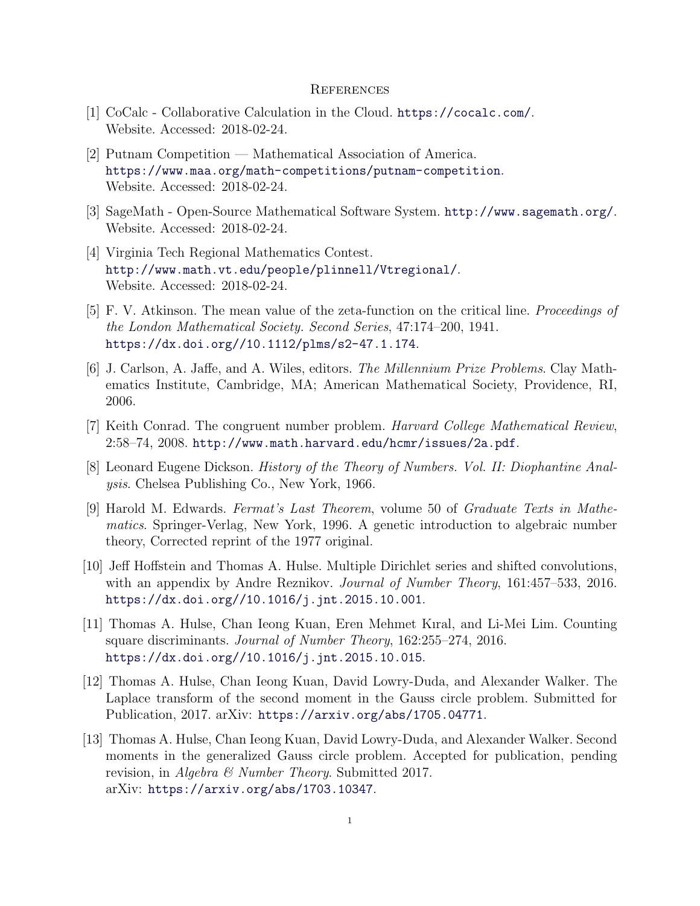#### **REFERENCES**

- [1] CoCalc Collaborative Calculation in the Cloud. https://cocalc.com/. Website. Accessed: 2018-02-24.
- [2] Putnam Competition Mathematical Association of America. https://www.maa.org/math-competitions/putnam-competition. Website. Accessed: 2018-02-24.
- [3] SageMath Open-Source Mathematical Software System. http://www.sagemath.org/. Website. Accessed: 2018-02-24.
- [4] Virginia Tech Regional Mathematics Contest. http://www.math.vt.edu/people/plinnell/Vtregional/. Website. Accessed: 2018-02-24.
- [5] F. V. Atkinson. The mean value of the zeta-function on the critical line. *Proceedings of the London Mathematical Society. Second Series*, 47:174–200, 1941. https://dx.doi.org//10.1112/plms/s2-47.1.174.
- [6] J. Carlson, A. Jaffe, and A. Wiles, editors. *The Millennium Prize Problems*. Clay Mathematics Institute, Cambridge, MA; American Mathematical Society, Providence, RI, 2006.
- [7] Keith Conrad. The congruent number problem. *Harvard College Mathematical Review*, 2:58–74, 2008. http://www.math.harvard.edu/hcmr/issues/2a.pdf.
- [8] Leonard Eugene Dickson. *History of the Theory of Numbers. Vol. II: Diophantine Analysis*. Chelsea Publishing Co., New York, 1966.
- [9] Harold M. Edwards. *Fermat's Last Theorem*, volume 50 of *Graduate Texts in Mathematics*. Springer-Verlag, New York, 1996. A genetic introduction to algebraic number theory, Corrected reprint of the 1977 original.
- [10] Jeff Hoffstein and Thomas A. Hulse. Multiple Dirichlet series and shifted convolutions, with an appendix by Andre Reznikov. *Journal of Number Theory*, 161:457–533, 2016. https://dx.doi.org//10.1016/j.jnt.2015.10.001.
- [11] Thomas A. Hulse, Chan Ieong Kuan, Eren Mehmet Kıral, and Li-Mei Lim. Counting square discriminants. *Journal of Number Theory*, 162:255–274, 2016. https://dx.doi.org//10.1016/j.jnt.2015.10.015.
- [12] Thomas A. Hulse, Chan Ieong Kuan, David Lowry-Duda, and Alexander Walker. The Laplace transform of the second moment in the Gauss circle problem. Submitted for Publication, 2017. arXiv: https://arxiv.org/abs/1705.04771.
- [13] Thomas A. Hulse, Chan Ieong Kuan, David Lowry-Duda, and Alexander Walker. Second moments in the generalized Gauss circle problem. Accepted for publication, pending revision, in *Algebra & Number Theory*. Submitted 2017. arXiv: https://arxiv.org/abs/1703.10347.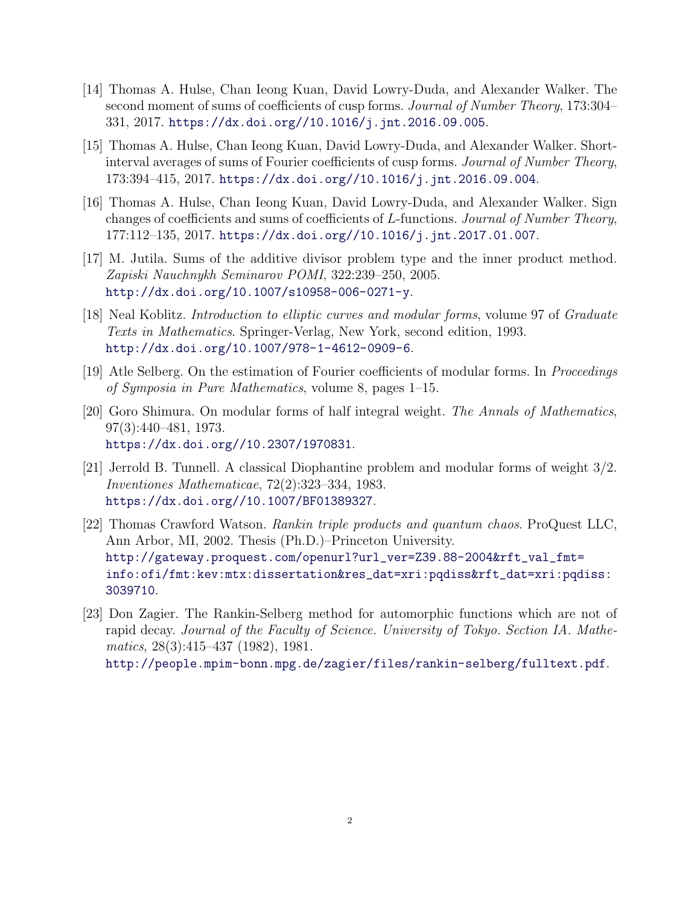- [14] Thomas A. Hulse, Chan Ieong Kuan, David Lowry-Duda, and Alexander Walker. The second moment of sums of coefficients of cusp forms. *Journal of Number Theory*, 173:304– 331, 2017. https://dx.doi.org//10.1016/j.jnt.2016.09.005.
- [15] Thomas A. Hulse, Chan Ieong Kuan, David Lowry-Duda, and Alexander Walker. Shortinterval averages of sums of Fourier coefficients of cusp forms. *Journal of Number Theory*, 173:394–415, 2017. https://dx.doi.org//10.1016/j.jnt.2016.09.004.
- [16] Thomas A. Hulse, Chan Ieong Kuan, David Lowry-Duda, and Alexander Walker. Sign changes of coefficients and sums of coefficients of L-functions. *Journal of Number Theory*, 177:112–135, 2017. https://dx.doi.org//10.1016/j.jnt.2017.01.007.
- [17] M. Jutila. Sums of the additive divisor problem type and the inner product method. *Zapiski Nauchnykh Seminarov POMI*, 322:239–250, 2005. http://dx.doi.org/10.1007/s10958-006-0271-y.
- [18] Neal Koblitz. *Introduction to elliptic curves and modular forms*, volume 97 of *Graduate Texts in Mathematics*. Springer-Verlag, New York, second edition, 1993. http://dx.doi.org/10.1007/978-1-4612-0909-6.
- [19] Atle Selberg. On the estimation of Fourier coefficients of modular forms. In *Proceedings of Symposia in Pure Mathematics*, volume 8, pages 1–15.
- [20] Goro Shimura. On modular forms of half integral weight. *The Annals of Mathematics*, 97(3):440–481, 1973. https://dx.doi.org//10.2307/1970831.
- [21] Jerrold B. Tunnell. A classical Diophantine problem and modular forms of weight 3/2. *Inventiones Mathematicae*, 72(2):323–334, 1983. https://dx.doi.org//10.1007/BF01389327.
- [22] Thomas Crawford Watson. *Rankin triple products and quantum chaos*. ProQuest LLC, Ann Arbor, MI, 2002. Thesis (Ph.D.)–Princeton University. http://gateway.proquest.com/openurl?url\_ver=Z39.88-2004&rft\_val\_fmt= info:ofi/fmt:kev:mtx:dissertation&res\_dat=xri:pqdiss&rft\_dat=xri:pqdiss: 3039710.
- [23] Don Zagier. The Rankin-Selberg method for automorphic functions which are not of rapid decay. *Journal of the Faculty of Science. University of Tokyo. Section IA. Mathematics*, 28(3):415–437 (1982), 1981. http://people.mpim-bonn.mpg.de/zagier/files/rankin-selberg/fulltext.pdf.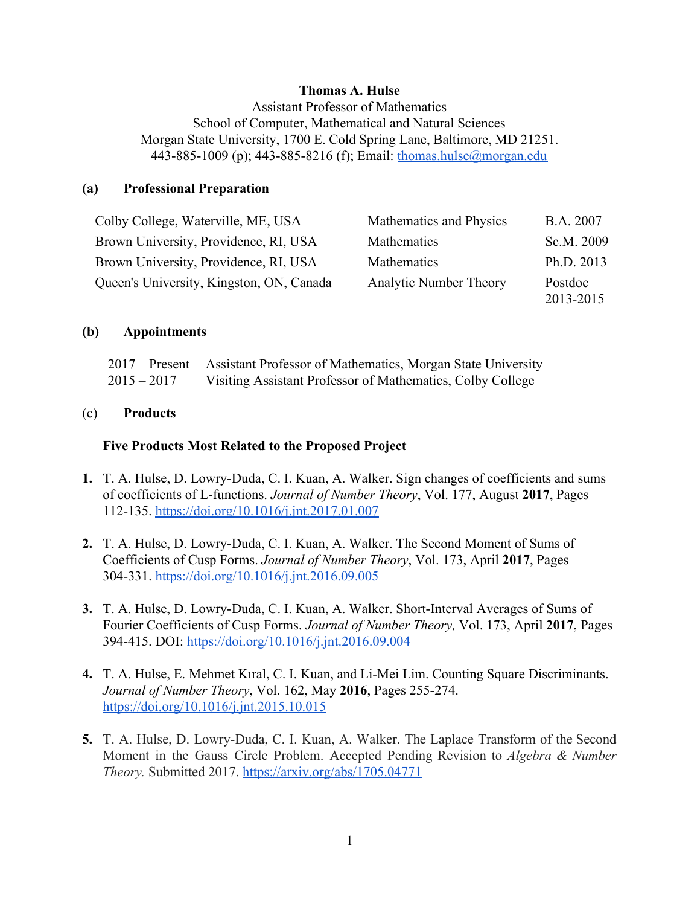### **Thomas A. Hulse**

Assistant Professor of Mathematics School of Computer, Mathematical and Natural Sciences Morgan State University, 1700 E. Cold Spring Lane, Baltimore, MD 21251. 443-885-1009 (p); 443-885-8216 (f); Email: thomas.hulse@morgan.edu

### **(a) Professional Preparation**

| Colby College, Waterville, ME, USA       | Mathematics and Physics       | B.A. 2007            |
|------------------------------------------|-------------------------------|----------------------|
| Brown University, Providence, RI, USA    | Mathematics                   | Sc.M. 2009           |
| Brown University, Providence, RI, USA    | Mathematics                   | Ph.D. 2013           |
| Queen's University, Kingston, ON, Canada | <b>Analytic Number Theory</b> | Postdoc<br>2013-2015 |

#### **(b) Appointments**

|               | 2017 – Present Assistant Professor of Mathematics, Morgan State University |
|---------------|----------------------------------------------------------------------------|
| $2015 - 2017$ | Visiting Assistant Professor of Mathematics, Colby College                 |

#### (c) **Products**

### **Five Products Most Related to the Proposed Project**

- **1.** T. A. Hulse, D. Lowry-Duda, C. I. Kuan, A. Walker. Sign changes of coefficients and sums of coefficients of L-functions. *Journal of Number Theory*, Vol. 177, August **2017**, Pages 112-135. https://doi.org/10.1016/j.jnt.2017.01.007
- **2.** T. A. Hulse, D. Lowry-Duda, C. I. Kuan, A. Walker. The Second Moment of Sums of Coefficients of Cusp Forms. *Journal of Number Theory*, Vol. 173, April **2017**, Pages 304-331. https://doi.org/10.1016/j.jnt.2016.09.005
- **3.** T. A. Hulse, D. Lowry-Duda, C. I. Kuan, A. Walker. Short-Interval Averages of Sums of Fourier Coefficients of Cusp Forms. *Journal of Number Theory,* Vol. 173, April **2017**, Pages 394-415. DOI: https://doi.org/10.1016/j.jnt.2016.09.004
- **4.** T. A. Hulse, E. Mehmet Kıral, C. I. Kuan, and Li-Mei Lim. Counting Square Discriminants. *Journal of Number Theory*, Vol. 162, May **2016**, Pages 255-274. https://doi.org/10.1016/j.jnt.2015.10.015
- **5.** T. A. Hulse, D. Lowry-Duda, C. I. Kuan, A. Walker. The Laplace Transform of the Second Moment in the Gauss Circle Problem. Accepted Pending Revision to *Algebra & Number Theory.* Submitted 2017. https://arxiv.org/abs/1705.04771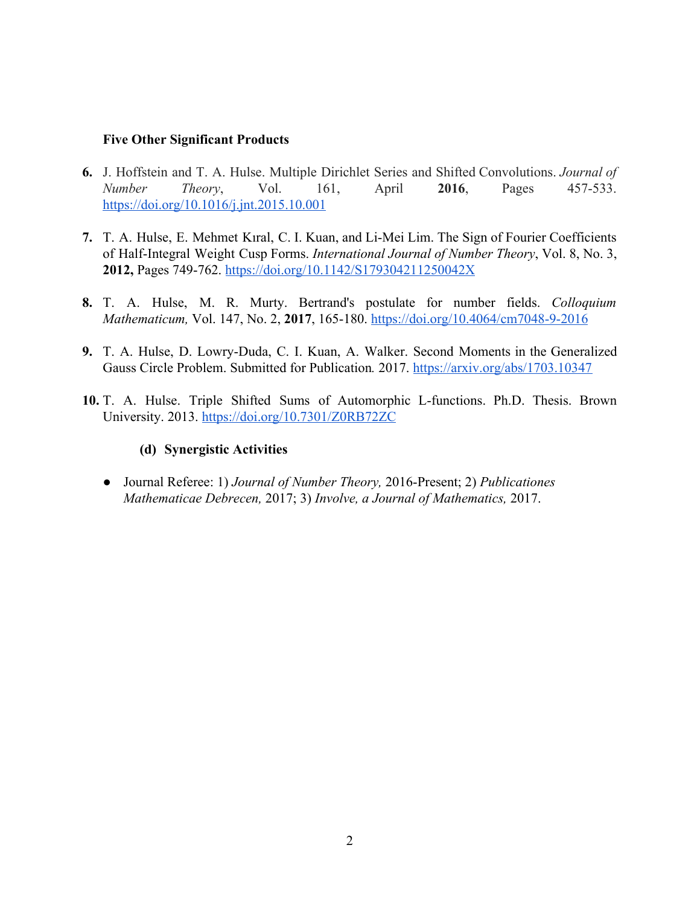### **Five Other Significant Products**

- **6.** J. Hoffstein and T. A. Hulse. Multiple Dirichlet Series and Shifted Convolutions. *Journal of Number Theory*, Vol. 161, April **2016**, Pages 457-533. https://doi.org/10.1016/j.jnt.2015.10.001
- 7. T. A. Hulse, E. Mehmet Kıral, C. I. Kuan, and Li-Mei Lim. The Sign of Fourier Coefficients of Half-Integral Weight Cusp Forms. *International Journal of Number Theory* , Vol. 8, No. 3, **2012,** Pages 749-762. https://doi.org/10.1142/S179304211250042X
- **8.** T. A. Hulse, M. R. Murty. Bertrand's postulate for number fields. *Colloquium Mathematicum,* Vol. 147, No. 2, **2017**, 165-180. https://doi.org/10.4064/cm7048-9-2016
- **9.** T. A. Hulse, D. Lowry-Duda, C. I. Kuan, A. Walker. Second Moments in the Generalized Gauss Circle Problem. Submitted for Publication*.* 2017. https://arxiv.org/abs/1703.10347
- **10.** T. A. Hulse. Triple Shifted Sums of Automorphic L-functions. Ph.D. Thesis. Brown University. 2013. https://doi.org/10.7301/Z0RB72ZC

### **(d) Synergistic Activities**

● Journal Referee: 1) *Journal of Number Theory,* 2016-Present; 2) *Publicationes Mathematicae Debrecen,* 2017; 3) *Involve, a Journal of Mathematics,* 2017.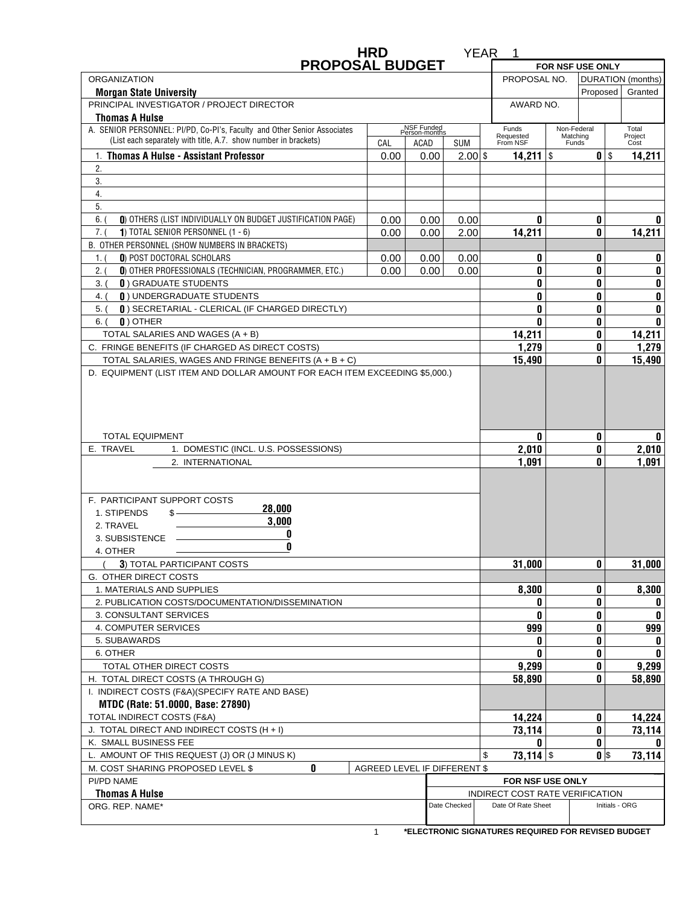| <b>PROPOSAL BUDGET</b>                                                                                                              | <b>HRD</b> |                             |                              | YEAR<br>1                                             |                  |                   |                     |
|-------------------------------------------------------------------------------------------------------------------------------------|------------|-----------------------------|------------------------------|-------------------------------------------------------|------------------|-------------------|---------------------|
|                                                                                                                                     |            |                             |                              |                                                       |                  | FOR NSF USE ONLY  |                     |
| <b>ORGANIZATION</b>                                                                                                                 |            |                             |                              | PROPOSAL NO.                                          |                  |                   | DURATION (months)   |
| <b>Morgan State University</b><br>PRINCIPAL INVESTIGATOR / PROJECT DIRECTOR                                                         |            |                             |                              | AWARD NO.                                             |                  | Proposed          | Granted             |
| <b>Thomas A Hulse</b>                                                                                                               |            |                             |                              |                                                       |                  |                   |                     |
| A. SENIOR PERSONNEL: PI/PD, Co-PI's, Faculty and Other Senior Associates                                                            |            | NSF Funded<br>Person-months |                              | Funds                                                 |                  | Non-Federal       | Total               |
| (List each separately with title, A.7. show number in brackets)                                                                     | CAL        | ACAD                        | <b>SUM</b>                   | Requested<br>From NSF                                 |                  | Matching<br>Funds | Project<br>Cost     |
| 1. Thomas A Hulse - Assistant Professor                                                                                             |            |                             | $2.00$ \$                    |                                                       |                  | $0$ $\sqrt{s}$    |                     |
| 2.                                                                                                                                  | 0.00       | 0.00                        |                              | $14,211$ \$                                           |                  |                   | 14,211              |
| 3.                                                                                                                                  |            |                             |                              |                                                       |                  |                   |                     |
| 4.                                                                                                                                  |            |                             |                              |                                                       |                  |                   |                     |
| 5.                                                                                                                                  |            |                             |                              |                                                       |                  |                   |                     |
| 6.<br>0) OTHERS (LIST INDIVIDUALLY ON BUDGET JUSTIFICATION PAGE)                                                                    | 0.00       | 0.00                        | 0.00                         |                                                       | 0                | 0                 | 0                   |
| 7. (<br>1) TOTAL SENIOR PERSONNEL $(1 - 6)$                                                                                         | 0.00       | 0.00                        | 2.00                         | 14,211                                                |                  | 0                 | 14,211              |
| B. OTHER PERSONNEL (SHOW NUMBERS IN BRACKETS)                                                                                       |            |                             |                              |                                                       |                  |                   |                     |
| 0) POST DOCTORAL SCHOLARS                                                                                                           | 0.00       |                             |                              |                                                       | 0                | 0                 | 0                   |
| 1.1<br>0) OTHER PROFESSIONALS (TECHNICIAN, PROGRAMMER, ETC.)<br>2.0                                                                 | 0.00       | 0.00<br>0.00                | 0.00<br>0.00                 |                                                       | 0                | 0                 | 0                   |
| <b>0) GRADUATE STUDENTS</b><br>$3.$ (                                                                                               |            |                             |                              |                                                       | 0                | 0                 | 0                   |
| <b>0) UNDERGRADUATE STUDENTS</b><br>4. (                                                                                            |            |                             |                              |                                                       | 0                | 0                 | 0                   |
| [ ]) SECRETARIAL - CLERICAL (IF CHARGED DIRECTLY)<br>$5.$ $($                                                                       |            |                             |                              |                                                       | 0                | 0                 | 0                   |
| $0$ ) OTHER<br>$6.$ (                                                                                                               |            |                             |                              |                                                       | 0                | 0                 | 0                   |
| TOTAL SALARIES AND WAGES (A + B)                                                                                                    |            |                             |                              | 14,211                                                |                  | 0                 | 14,211              |
| C. FRINGE BENEFITS (IF CHARGED AS DIRECT COSTS)                                                                                     |            |                             |                              | 1,279                                                 |                  | 0                 | 1,279               |
| TOTAL SALARIES, WAGES AND FRINGE BENEFITS (A + B + C)                                                                               |            |                             |                              |                                                       |                  | 0                 |                     |
| D. EQUIPMENT (LIST ITEM AND DOLLAR AMOUNT FOR EACH ITEM EXCEEDING \$5,000.)                                                         |            |                             |                              | 15,490                                                |                  |                   | 15,490              |
| <b>TOTAL EQUIPMENT</b><br>E. TRAVEL<br>1. DOMESTIC (INCL. U.S. POSSESSIONS)<br>2. INTERNATIONAL                                     |            |                             |                              | 2,010<br>1,091                                        | 0                | 0<br>0<br>0       | 0<br>2,010<br>1,091 |
| F. PARTICIPANT SUPPORT COSTS<br>28,000<br>1. STIPENDS<br>$s$ — $\sim$<br>3,000<br>2. TRAVEL<br>0<br>3. SUBSISTENCE<br>0<br>4. OTHER |            |                             |                              |                                                       |                  |                   |                     |
| 3) TOTAL PARTICIPANT COSTS                                                                                                          |            |                             |                              | 31,000                                                |                  | 0                 | 31,000              |
| G. OTHER DIRECT COSTS                                                                                                               |            |                             |                              |                                                       |                  |                   |                     |
| 1. MATERIALS AND SUPPLIES                                                                                                           |            |                             |                              | 8,300                                                 |                  | 0                 | 8,300               |
| 2. PUBLICATION COSTS/DOCUMENTATION/DISSEMINATION                                                                                    |            |                             |                              |                                                       | 0                | 0                 | 0                   |
| 3. CONSULTANT SERVICES                                                                                                              |            |                             |                              |                                                       | 0                | 0                 | 0                   |
| 4. COMPUTER SERVICES                                                                                                                |            |                             |                              | 999                                                   |                  | 0                 | 999                 |
| 5. SUBAWARDS                                                                                                                        |            |                             |                              |                                                       | 0                | 0                 | 0                   |
| 6. OTHER                                                                                                                            |            |                             |                              |                                                       | U                | 0                 | 0                   |
| TOTAL OTHER DIRECT COSTS                                                                                                            |            |                             |                              | 9,299                                                 |                  | 0                 | 9,299               |
| H. TOTAL DIRECT COSTS (A THROUGH G)                                                                                                 |            |                             |                              | 58,890                                                |                  | 0                 | 58,890              |
| I. INDIRECT COSTS (F&A)(SPECIFY RATE AND BASE)                                                                                      |            |                             |                              |                                                       |                  |                   |                     |
| MTDC (Rate: 51.0000, Base: 27890)                                                                                                   |            |                             |                              |                                                       |                  |                   |                     |
| TOTAL INDIRECT COSTS (F&A)                                                                                                          |            |                             |                              | 14,224                                                |                  | 0                 | 14,224              |
| J. TOTAL DIRECT AND INDIRECT COSTS (H + I)                                                                                          |            |                             |                              | 73,114                                                | n                | 0<br>0            | 73,114<br>n.        |
| K. SMALL BUSINESS FEE                                                                                                               |            |                             |                              | $73,114$ \$<br>\$                                     |                  |                   | 73,114              |
| L. AMOUNT OF THIS REQUEST (J) OR (J MINUS K)<br>0<br>M. COST SHARING PROPOSED LEVEL \$                                              |            |                             | AGREED LEVEL IF DIFFERENT \$ |                                                       |                  | $0$ $\sqrt{s}$    |                     |
|                                                                                                                                     |            |                             |                              |                                                       |                  |                   |                     |
| PI/PD NAME                                                                                                                          |            |                             |                              |                                                       | FOR NSF USE ONLY |                   |                     |
| <b>Thomas A Hulse</b><br>ORG. REP. NAME*                                                                                            |            |                             | Date Checked                 | INDIRECT COST RATE VERIFICATION<br>Date Of Rate Sheet |                  |                   | Initials - ORG      |
|                                                                                                                                     |            |                             |                              |                                                       |                  |                   |                     |

**\*ELECTRONIC SIGNATURES REQUIRED FOR REVISED BUDGET**  $\overline{1}$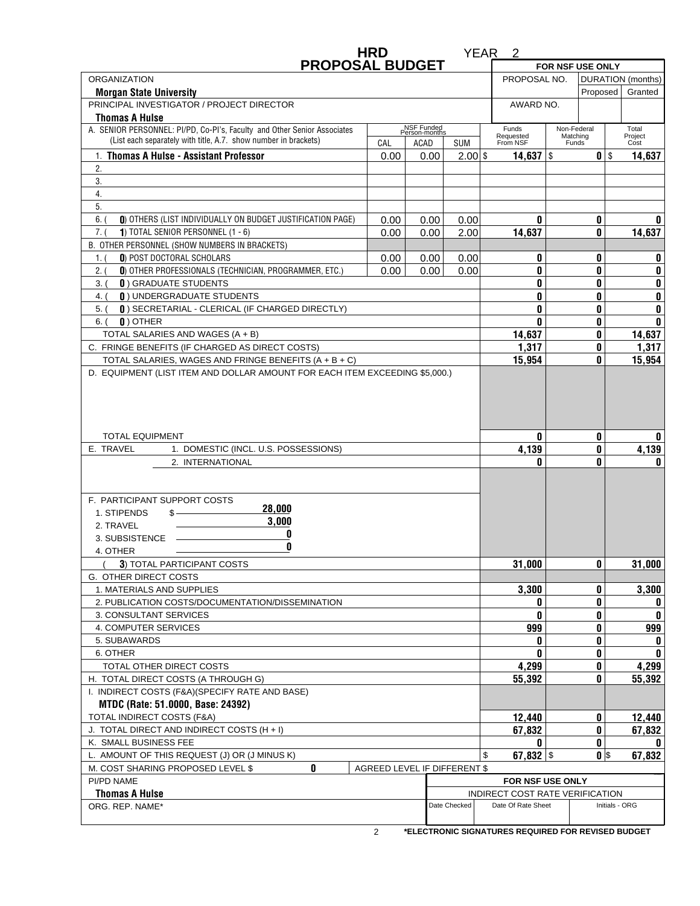|                                                                                                                                             | <b>HRD</b> |                             |                              | YEAR <sub>2</sub>                                         |       |                |                |            |
|---------------------------------------------------------------------------------------------------------------------------------------------|------------|-----------------------------|------------------------------|-----------------------------------------------------------|-------|----------------|----------------|------------|
| <b>PROPOSAL BUDGET</b>                                                                                                                      |            |                             |                              | FOR NSF USE ONLY                                          |       |                |                |            |
| <b>ORGANIZATION</b>                                                                                                                         |            |                             |                              | PROPOSAL NO.<br>DURATION (months)                         |       |                |                |            |
| <b>Morgan State University</b>                                                                                                              |            |                             |                              | Proposed                                                  |       |                | Granted        |            |
| PRINCIPAL INVESTIGATOR / PROJECT DIRECTOR                                                                                                   |            |                             |                              | AWARD NO.                                                 |       |                |                |            |
| <b>Thomas A Hulse</b>                                                                                                                       |            |                             |                              |                                                           |       |                | Total          |            |
| A. SENIOR PERSONNEL: PI/PD, Co-PI's, Faculty and Other Senior Associates<br>(List each separately with title, A.7. show number in brackets) |            | NSF Funded<br>Person-months |                              | Non-Federal<br>Funds<br>Requested<br>From NSF<br>Matching |       |                | Project        |            |
|                                                                                                                                             | CAL        | ACAD                        | <b>SUM</b>                   |                                                           | Funds |                | Cost           |            |
| 1. Thomas A Hulse - Assistant Professor<br>2.                                                                                               | 0.00       | 0.00                        | $2.00$ \$                    | $0$ $\sqrt{s}$<br>14,637 $\frac{1}{3}$                    |       |                |                | 14,637     |
| 3.                                                                                                                                          |            |                             |                              |                                                           |       |                |                |            |
| 4.                                                                                                                                          |            |                             |                              |                                                           |       |                |                |            |
| 5.                                                                                                                                          |            |                             |                              |                                                           |       |                |                |            |
| 6.<br>0) OTHERS (LIST INDIVIDUALLY ON BUDGET JUSTIFICATION PAGE)                                                                            | 0.00       | 0.00                        | 0.00                         | 0                                                         |       | 0              |                | 0          |
| 7. (<br>1) TOTAL SENIOR PERSONNEL $(1 - 6)$                                                                                                 | 0.00       | 0.00                        | 2.00                         | 14,637                                                    |       | 0              |                | 14,637     |
| B. OTHER PERSONNEL (SHOW NUMBERS IN BRACKETS)                                                                                               |            |                             |                              |                                                           |       |                |                |            |
| 0) POST DOCTORAL SCHOLARS                                                                                                                   | 0.00       |                             |                              | 0                                                         |       | 0              |                | 0          |
| 1.1<br>0) OTHER PROFESSIONALS (TECHNICIAN, PROGRAMMER, ETC.)                                                                                | 0.00       | 0.00<br>0.00                | 0.00                         |                                                           |       |                |                |            |
| 2.0<br><b>0) GRADUATE STUDENTS</b>                                                                                                          |            |                             | 0.00                         | 0                                                         |       | 0              |                | 0          |
| $3.$ (                                                                                                                                      |            |                             |                              | 0                                                         |       | 0              |                | 0          |
| <b>0) UNDERGRADUATE STUDENTS</b><br>4. (                                                                                                    |            |                             |                              | 0                                                         |       | 0              |                | 0          |
| [ ]) SECRETARIAL - CLERICAL (IF CHARGED DIRECTLY)<br>$5.$ $($                                                                               |            |                             |                              | 0                                                         |       | 0              |                | 0          |
| $\mathbf{0}$ ) OTHER<br>$6.$ (                                                                                                              |            |                             |                              | 0                                                         |       | 0              |                | 0          |
| TOTAL SALARIES AND WAGES (A + B)                                                                                                            |            |                             |                              | 14,637                                                    |       | 0              |                | 14,637     |
| C. FRINGE BENEFITS (IF CHARGED AS DIRECT COSTS)                                                                                             |            |                             |                              | 1,317                                                     |       | 0              |                | 1,317      |
| TOTAL SALARIES, WAGES AND FRINGE BENEFITS (A + B + C)<br>D. EQUIPMENT (LIST ITEM AND DOLLAR AMOUNT FOR EACH ITEM EXCEEDING \$5,000.)        |            |                             |                              | 15,954                                                    |       | 0              |                | 15,954     |
| <b>TOTAL EQUIPMENT</b><br>E. TRAVEL<br>1. DOMESTIC (INCL. U.S. POSSESSIONS)                                                                 |            |                             |                              | 0<br>4,139                                                |       | 0<br>0         |                | 0<br>4,139 |
|                                                                                                                                             |            |                             |                              | n                                                         |       | 0              |                | 0          |
| 2. INTERNATIONAL                                                                                                                            |            |                             |                              |                                                           |       |                |                |            |
|                                                                                                                                             |            |                             |                              |                                                           |       |                |                |            |
| F. PARTICIPANT SUPPORT COSTS                                                                                                                |            |                             |                              |                                                           |       |                |                |            |
| 28,000<br>1. STIPENDS<br>$s-$                                                                                                               |            |                             |                              |                                                           |       |                |                |            |
| 3,000<br>2. TRAVEL                                                                                                                          |            |                             |                              |                                                           |       |                |                |            |
| 0<br>3. SUBSISTENCE                                                                                                                         |            |                             |                              |                                                           |       |                |                |            |
| 0<br>4. OTHER                                                                                                                               |            |                             |                              |                                                           |       |                |                |            |
| 3) TOTAL PARTICIPANT COSTS                                                                                                                  |            |                             |                              | 31,000                                                    |       | 0              |                | 31,000     |
| G. OTHER DIRECT COSTS                                                                                                                       |            |                             |                              |                                                           |       |                |                |            |
| 1. MATERIALS AND SUPPLIES                                                                                                                   |            |                             |                              | 3,300                                                     |       | 0              |                | 3,300      |
| 2. PUBLICATION COSTS/DOCUMENTATION/DISSEMINATION                                                                                            |            |                             |                              | 0                                                         |       | 0              |                | 0          |
| 3. CONSULTANT SERVICES                                                                                                                      |            |                             |                              | 0                                                         |       | 0              |                | 0          |
| 4. COMPUTER SERVICES                                                                                                                        |            |                             |                              | 999                                                       |       | 0              |                | 999        |
| 5. SUBAWARDS                                                                                                                                |            |                             |                              | 0                                                         |       | 0              |                | 0          |
| 6. OTHER                                                                                                                                    |            |                             |                              | U                                                         |       | 0              |                | 0          |
| TOTAL OTHER DIRECT COSTS                                                                                                                    |            |                             |                              | 4,299                                                     |       | 0              |                | 4,299      |
| H. TOTAL DIRECT COSTS (A THROUGH G)                                                                                                         |            |                             | 55,392                       |                                                           | 0     |                | 55,392         |            |
| I. INDIRECT COSTS (F&A)(SPECIFY RATE AND BASE)                                                                                              |            |                             |                              |                                                           |       |                |                |            |
| MTDC (Rate: 51.0000, Base: 24392)                                                                                                           |            |                             |                              |                                                           |       |                |                |            |
| TOTAL INDIRECT COSTS (F&A)                                                                                                                  |            |                             | 12,440                       |                                                           | 0     |                | 12,440         |            |
| J. TOTAL DIRECT AND INDIRECT COSTS (H + I)                                                                                                  |            |                             | 67,832                       |                                                           | 0     |                | 67,832         |            |
| K. SMALL BUSINESS FEE                                                                                                                       |            |                             |                              | n                                                         |       | 0              |                | 0          |
| L. AMOUNT OF THIS REQUEST (J) OR (J MINUS K)                                                                                                |            |                             |                              | 67,832 $\frac{1}{2}$<br>\$                                |       | $0$ $\sqrt{s}$ |                | 67,832     |
| 0<br>M. COST SHARING PROPOSED LEVEL \$                                                                                                      |            |                             | AGREED LEVEL IF DIFFERENT \$ |                                                           |       |                |                |            |
| PI/PD NAME                                                                                                                                  |            |                             |                              |                                                           |       |                |                |            |
| <b>Thomas A Hulse</b>                                                                                                                       |            |                             |                              | FOR NSF USE ONLY<br>INDIRECT COST RATE VERIFICATION       |       |                |                |            |
| ORG. REP. NAME*                                                                                                                             |            |                             | Date Checked                 | Date Of Rate Sheet                                        |       |                | Initials - ORG |            |
|                                                                                                                                             |            |                             |                              |                                                           |       |                |                |            |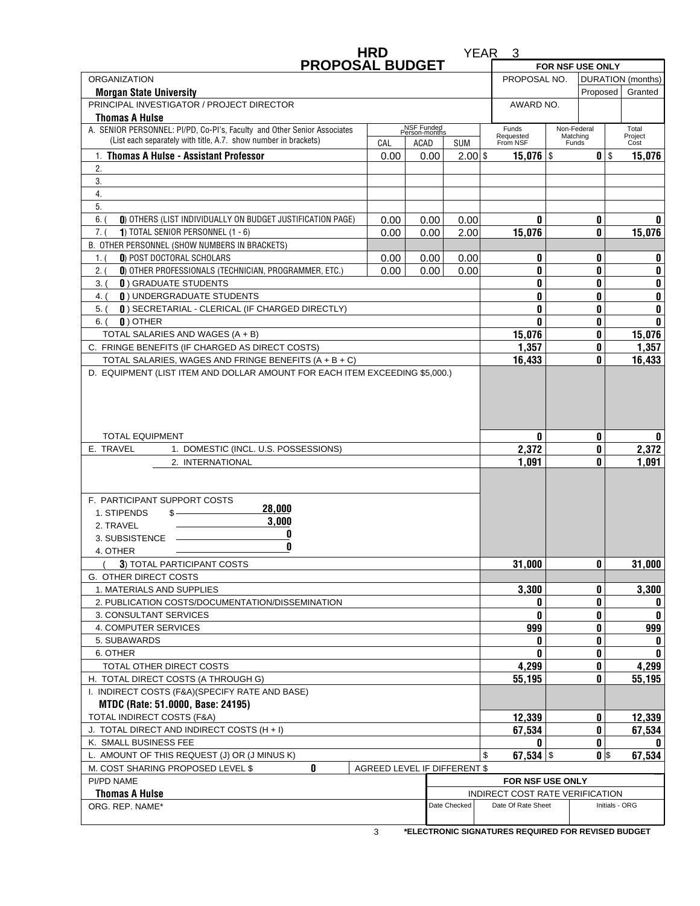|                                                                                                                                             | <b>HRD</b> |                             |                              | YEAR <sub>3</sub>                                   |                                  |                |                              |  |  |
|---------------------------------------------------------------------------------------------------------------------------------------------|------------|-----------------------------|------------------------------|-----------------------------------------------------|----------------------------------|----------------|------------------------------|--|--|
| <b>PROPOSAL BUDGET</b>                                                                                                                      |            |                             |                              |                                                     | FOR NSF USE ONLY                 |                |                              |  |  |
| <b>ORGANIZATION</b>                                                                                                                         |            |                             |                              | PROPOSAL NO.                                        |                                  |                | DURATION (months)<br>Granted |  |  |
| <b>Morgan State University</b>                                                                                                              |            |                             |                              |                                                     | Proposed<br>AWARD NO.            |                |                              |  |  |
| PRINCIPAL INVESTIGATOR / PROJECT DIRECTOR<br><b>Thomas A Hulse</b>                                                                          |            |                             |                              |                                                     |                                  |                |                              |  |  |
| A. SENIOR PERSONNEL: PI/PD, Co-PI's, Faculty and Other Senior Associates<br>(List each separately with title, A.7. show number in brackets) | CAL        | NSF Funded<br>Person-months |                              | Funds<br>Requested<br>From NSF                      | Non-Federal<br>Matching<br>Funds |                | Total<br>Project             |  |  |
| 1. Thomas A Hulse - Assistant Professor                                                                                                     | 0.00       | ACAD<br>0.00                | <b>SUM</b><br>$2.00$ \$      |                                                     |                                  | $0$ $\sqrt{s}$ | Cost<br>15,076               |  |  |
| 2.                                                                                                                                          |            |                             |                              |                                                     | $15,076$ \$                      |                |                              |  |  |
| 3.                                                                                                                                          |            |                             |                              |                                                     |                                  |                |                              |  |  |
| 4.                                                                                                                                          |            |                             |                              |                                                     |                                  |                |                              |  |  |
| 5.                                                                                                                                          |            |                             |                              |                                                     |                                  |                |                              |  |  |
| 6.<br>0) OTHERS (LIST INDIVIDUALLY ON BUDGET JUSTIFICATION PAGE)                                                                            | 0.00       | 0.00                        | 0.00                         | 0                                                   |                                  | 0              | 0                            |  |  |
| 7. (<br>1) TOTAL SENIOR PERSONNEL $(1 - 6)$                                                                                                 | 0.00       | 0.00                        | 2.00                         | 15,076                                              |                                  | 0              | 15,076                       |  |  |
| B. OTHER PERSONNEL (SHOW NUMBERS IN BRACKETS)                                                                                               |            |                             |                              |                                                     |                                  |                |                              |  |  |
| 0) POST DOCTORAL SCHOLARS<br>1.1                                                                                                            | 0.00       | 0.00                        | 0.00                         | 0                                                   |                                  | 0              | 0                            |  |  |
| 0) OTHER PROFESSIONALS (TECHNICIAN, PROGRAMMER, ETC.)<br>2.0                                                                                | 0.00       | 0.00                        | 0.00                         | 0                                                   |                                  | 0              | 0                            |  |  |
| <b>0) GRADUATE STUDENTS</b><br>$3.$ (                                                                                                       |            |                             |                              | 0                                                   |                                  | 0              | 0                            |  |  |
| <b>0) UNDERGRADUATE STUDENTS</b><br>4. (                                                                                                    |            |                             |                              | 0                                                   |                                  | 0              | 0                            |  |  |
| [ ]) SECRETARIAL - CLERICAL (IF CHARGED DIRECTLY)<br>$5.$ $($                                                                               |            |                             |                              | 0                                                   |                                  | 0              | 0                            |  |  |
| $\mathbf{0}$ ) OTHER<br>$6.$ (                                                                                                              |            |                             |                              | 0                                                   |                                  | 0              | 0                            |  |  |
| TOTAL SALARIES AND WAGES (A + B)                                                                                                            |            |                             |                              | 15,076                                              |                                  | 0              | 15,076                       |  |  |
| C. FRINGE BENEFITS (IF CHARGED AS DIRECT COSTS)                                                                                             |            |                             |                              | 1,357                                               |                                  | 0              | 1,357                        |  |  |
| TOTAL SALARIES, WAGES AND FRINGE BENEFITS (A + B + C)<br>D. EQUIPMENT (LIST ITEM AND DOLLAR AMOUNT FOR EACH ITEM EXCEEDING \$5,000.)        |            |                             |                              | 16,433                                              |                                  | 0              | 16,433                       |  |  |
| <b>TOTAL EQUIPMENT</b><br>E. TRAVEL<br>1. DOMESTIC (INCL. U.S. POSSESSIONS)<br>2. INTERNATIONAL                                             |            |                             |                              | 0<br>2,372<br>1,091                                 |                                  | 0<br>0<br>0    | 0<br>2,372<br>1,091          |  |  |
| F. PARTICIPANT SUPPORT COSTS                                                                                                                |            |                             |                              |                                                     |                                  |                |                              |  |  |
| 28,000<br>1. STIPENDS<br>$s$ — $\sim$<br>3,000<br>2. TRAVEL<br>0<br>3. SUBSISTENCE<br>0<br>4. OTHER                                         |            |                             |                              |                                                     |                                  |                |                              |  |  |
| 3) TOTAL PARTICIPANT COSTS                                                                                                                  |            |                             |                              | 31,000                                              |                                  | 0              | 31,000                       |  |  |
| G. OTHER DIRECT COSTS                                                                                                                       |            |                             |                              |                                                     |                                  |                |                              |  |  |
| 1. MATERIALS AND SUPPLIES                                                                                                                   |            |                             |                              | 3,300                                               |                                  | 0              | 3,300                        |  |  |
| 2. PUBLICATION COSTS/DOCUMENTATION/DISSEMINATION                                                                                            |            |                             |                              | 0                                                   |                                  | 0              | 0                            |  |  |
| 3. CONSULTANT SERVICES                                                                                                                      |            |                             |                              | 0                                                   |                                  | 0              | 0                            |  |  |
| 4. COMPUTER SERVICES                                                                                                                        |            |                             |                              | 999                                                 |                                  | 0              | 999                          |  |  |
| 5. SUBAWARDS                                                                                                                                |            |                             |                              | 0                                                   |                                  | 0              | 0                            |  |  |
| 6. OTHER                                                                                                                                    |            |                             |                              | U                                                   |                                  | 0              | 0                            |  |  |
| TOTAL OTHER DIRECT COSTS                                                                                                                    |            |                             | 4,299                        |                                                     | 0                                | 4,299          |                              |  |  |
| H. TOTAL DIRECT COSTS (A THROUGH G)                                                                                                         |            |                             |                              | 55,195                                              |                                  | 0              | 55,195                       |  |  |
| I. INDIRECT COSTS (F&A)(SPECIFY RATE AND BASE)                                                                                              |            |                             |                              |                                                     |                                  |                |                              |  |  |
| MTDC (Rate: 51.0000, Base: 24195)                                                                                                           |            |                             |                              |                                                     |                                  |                |                              |  |  |
| TOTAL INDIRECT COSTS (F&A)                                                                                                                  |            |                             | 12,339                       |                                                     | 0                                | 12,339         |                              |  |  |
| J. TOTAL DIRECT AND INDIRECT COSTS (H + I)                                                                                                  |            |                             | 67,534                       |                                                     | 0                                | 67,534         |                              |  |  |
| K. SMALL BUSINESS FEE                                                                                                                       |            |                             |                              | n                                                   |                                  | 0              | n                            |  |  |
| L. AMOUNT OF THIS REQUEST (J) OR (J MINUS K)<br>0<br>M. COST SHARING PROPOSED LEVEL \$                                                      |            |                             | AGREED LEVEL IF DIFFERENT \$ | 67,534 $\frac{1}{3}$<br>\$                          |                                  | $0$ $\sqrt{s}$ | 67,534                       |  |  |
|                                                                                                                                             |            |                             |                              |                                                     |                                  |                |                              |  |  |
| PI/PD NAME<br><b>Thomas A Hulse</b>                                                                                                         |            |                             |                              | FOR NSF USE ONLY<br>INDIRECT COST RATE VERIFICATION |                                  |                |                              |  |  |
| ORG. REP. NAME*                                                                                                                             |            |                             | Date Checked                 | Date Of Rate Sheet                                  |                                  |                | Initials - ORG               |  |  |

**\*ELECTRONIC SIGNATURES REQUIRED FOR REVISED BUDGET** 3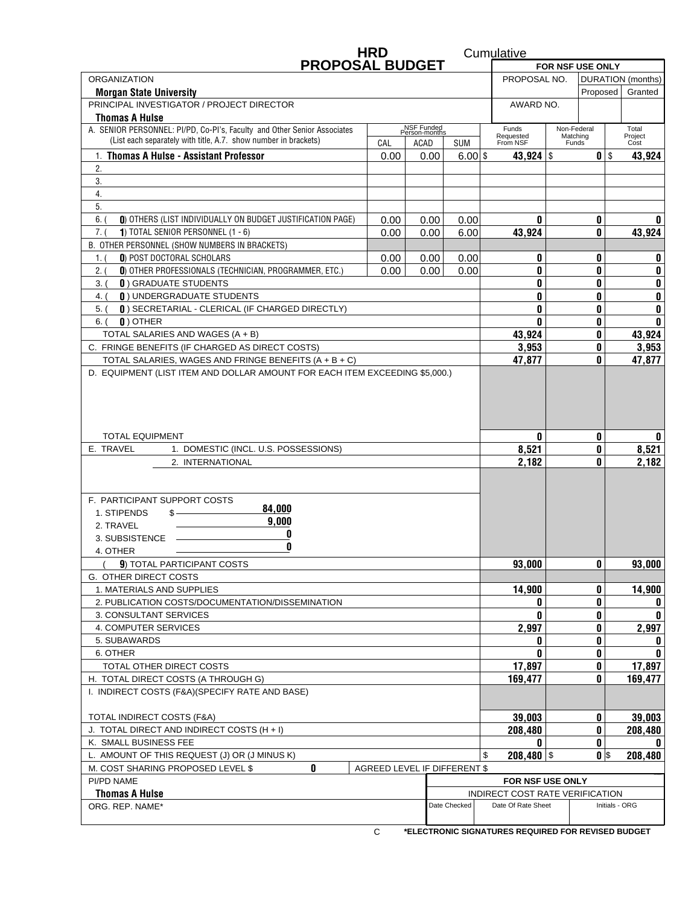|                                                                                                                                                     | <b>HRD</b>       |                             |                              | Cumulative                      |                                   |                             |                |  |
|-----------------------------------------------------------------------------------------------------------------------------------------------------|------------------|-----------------------------|------------------------------|---------------------------------|-----------------------------------|-----------------------------|----------------|--|
| <b>PROPOSAL BUDGET</b>                                                                                                                              | FOR NSF USE ONLY |                             |                              |                                 |                                   |                             |                |  |
| <b>ORGANIZATION</b>                                                                                                                                 |                  |                             |                              |                                 | PROPOSAL NO.<br>DURATION (months) |                             |                |  |
| <b>Morgan State University</b>                                                                                                                      |                  |                             |                              | Proposed                        |                                   |                             | Granted        |  |
| PRINCIPAL INVESTIGATOR / PROJECT DIRECTOR                                                                                                           |                  |                             |                              | AWARD NO.                       |                                   |                             |                |  |
| <b>Thomas A Hulse</b><br>A. SENIOR PERSONNEL: PI/PD, Co-PI's, Faculty and Other Senior Associates                                                   |                  | NSF Funded<br>Person-months |                              | Funds                           | Non-Federal                       |                             | Total          |  |
| (List each separately with title, A.7. show number in brackets)                                                                                     | CAL              | ACAD                        | <b>SUM</b>                   | Requested<br>From NSF           | Funds                             | Project<br>Matching<br>Cost |                |  |
| 1. Thomas A Hulse - Assistant Professor                                                                                                             | 0.00             | 0.00                        | $6.00$ \$                    | 43,924 $\frac{1}{3}$            |                                   | $0$ $\sqrt{ }$              | 43,924         |  |
| 2.                                                                                                                                                  |                  |                             |                              |                                 |                                   |                             |                |  |
| 3.                                                                                                                                                  |                  |                             |                              |                                 |                                   |                             |                |  |
| 4.                                                                                                                                                  |                  |                             |                              |                                 |                                   |                             |                |  |
| 5.                                                                                                                                                  |                  |                             |                              |                                 |                                   |                             |                |  |
| 6.<br>0) OTHERS (LIST INDIVIDUALLY ON BUDGET JUSTIFICATION PAGE)                                                                                    | 0.00             | 0.00                        | 0.00                         | 0                               |                                   | 0                           | n              |  |
| 7. (<br>1) TOTAL SENIOR PERSONNEL $(1 - 6)$                                                                                                         | 0.00             | 0.00                        | 6.00                         | 43,924                          |                                   | 0                           | 43,924         |  |
| B. OTHER PERSONNEL (SHOW NUMBERS IN BRACKETS)                                                                                                       |                  |                             |                              |                                 |                                   |                             |                |  |
| 0) POST DOCTORAL SCHOLARS<br>1.1                                                                                                                    | 0.00             | 0.00                        | 0.00                         | 0                               |                                   | 0                           | 0              |  |
| 0) OTHER PROFESSIONALS (TECHNICIAN, PROGRAMMER, ETC.)<br>2. (<br><b>0) GRADUATE STUDENTS</b>                                                        | 0.00             | 0.00                        | 0.00                         | 0<br>0                          |                                   |                             | 0              |  |
| 3. (<br><b>0) UNDERGRADUATE STUDENTS</b><br>4. (                                                                                                    |                  |                             |                              | 0<br>0                          |                                   | 0<br>0                      | 0<br>0         |  |
| [ ]) SECRETARIAL - CLERICAL (IF CHARGED DIRECTLY)<br>$5.$ (                                                                                         |                  |                             |                              | 0                               |                                   | 0                           | 0              |  |
| $\mathbf{0}$ ) OTHER<br>6. (                                                                                                                        |                  |                             |                              | 0                               |                                   | 0                           | 0              |  |
| TOTAL SALARIES AND WAGES (A + B)                                                                                                                    |                  |                             |                              | 43,924                          |                                   | 0                           | 43,924         |  |
| C. FRINGE BENEFITS (IF CHARGED AS DIRECT COSTS)                                                                                                     |                  |                             |                              | 3,953                           |                                   | 0                           | 3,953          |  |
| TOTAL SALARIES, WAGES AND FRINGE BENEFITS (A + B + C)                                                                                               |                  |                             |                              | 47.877                          |                                   | 0                           | 47,877         |  |
| D. EQUIPMENT (LIST ITEM AND DOLLAR AMOUNT FOR EACH ITEM EXCEEDING \$5,000.)                                                                         |                  |                             |                              |                                 |                                   |                             |                |  |
| <b>TOTAL EQUIPMENT</b>                                                                                                                              |                  |                             |                              | 0                               |                                   | 0                           | 0              |  |
| E. TRAVEL<br>1. DOMESTIC (INCL. U.S. POSSESSIONS)                                                                                                   |                  |                             |                              |                                 |                                   | 0                           | 8,521          |  |
| 2. INTERNATIONAL                                                                                                                                    |                  |                             |                              | 8,521<br>2,182                  |                                   | 0                           | 2,182          |  |
|                                                                                                                                                     |                  |                             |                              |                                 |                                   |                             |                |  |
| F. PARTICIPANT SUPPORT COSTS<br>84,000<br>1. STIPENDS<br>$s$ $\overline{\phantom{a}}$<br>9,000<br>2. TRAVEL<br>O<br>3. SUBSISTENCE<br>0<br>4. OTHER |                  |                             |                              |                                 |                                   |                             |                |  |
| 9) TOTAL PARTICIPANT COSTS                                                                                                                          |                  |                             |                              | 93,000                          |                                   | 0                           | 93,000         |  |
| G. OTHER DIRECT COSTS                                                                                                                               |                  |                             |                              |                                 |                                   |                             |                |  |
| 1. MATERIALS AND SUPPLIES                                                                                                                           |                  |                             |                              | 14,900                          |                                   | 0                           | 14,900         |  |
| 2. PUBLICATION COSTS/DOCUMENTATION/DISSEMINATION                                                                                                    |                  |                             |                              | 0                               |                                   | 0                           | 0              |  |
| 3. CONSULTANT SERVICES<br>4. COMPUTER SERVICES                                                                                                      |                  |                             |                              | 0<br>2,997                      |                                   | 0<br>0                      | 2,997          |  |
| 5. SUBAWARDS                                                                                                                                        |                  |                             |                              | 0                               |                                   | 0                           | 0              |  |
| 6. OTHER                                                                                                                                            |                  |                             |                              | n                               |                                   | 0                           |                |  |
| TOTAL OTHER DIRECT COSTS                                                                                                                            |                  |                             |                              | 17,897                          |                                   | 0                           | 17,897         |  |
| H. TOTAL DIRECT COSTS (A THROUGH G)                                                                                                                 |                  |                             |                              | 169,477                         |                                   | 0                           | 169,477        |  |
| I. INDIRECT COSTS (F&A)(SPECIFY RATE AND BASE)                                                                                                      |                  |                             |                              |                                 |                                   |                             |                |  |
| TOTAL INDIRECT COSTS (F&A)                                                                                                                          |                  |                             |                              | 39,003                          |                                   | 0                           | 39,003         |  |
| J. TOTAL DIRECT AND INDIRECT COSTS (H + I)                                                                                                          |                  |                             |                              | 208,480                         |                                   | 0                           | 208,480        |  |
| K. SMALL BUSINESS FEE                                                                                                                               |                  |                             |                              | n                               |                                   | 0                           |                |  |
| L. AMOUNT OF THIS REQUEST (J) OR (J MINUS K)                                                                                                        |                  |                             |                              | $208,480$ \$<br>\$              |                                   | $0$ $\sqrt{s}$              | 208,480        |  |
| 0<br>M. COST SHARING PROPOSED LEVEL \$                                                                                                              |                  |                             | AGREED LEVEL IF DIFFERENT \$ |                                 |                                   |                             |                |  |
| PI/PD NAME                                                                                                                                          |                  |                             |                              | FOR NSF USE ONLY                |                                   |                             |                |  |
| <b>Thomas A Hulse</b>                                                                                                                               |                  |                             |                              | INDIRECT COST RATE VERIFICATION |                                   |                             |                |  |
| ORG. REP. NAME*                                                                                                                                     |                  |                             | Date Checked                 | Date Of Rate Sheet              |                                   |                             | Initials - ORG |  |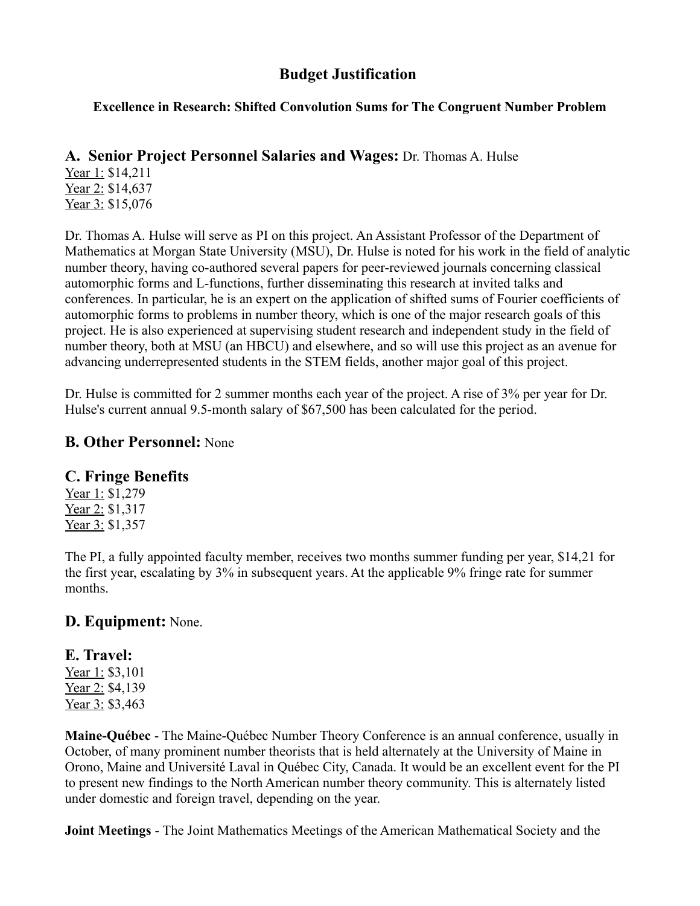### **Budget Justification**

### **Excellence in Research: Shifted Convolution Sums for The Congruent Number Problem**

### A. Senior Project Personnel Salaries and Wages: Dr. Thomas A. Hulse

Year 1: \$14,211 Year 2: \$14,637 Year 3: \$15,076

Dr. Thomas A. Hulse will serve as PI on this project. An Assistant Professor of the Department of Mathematics at Morgan State University (MSU), Dr. Hulse is noted for his work in the field of analytic number theory, having co-authored several papers for peer-reviewed journals concerning classical automorphic forms and L-functions, further disseminating this research at invited talks and conferences. In particular, he is an expert on the application of shifted sums of Fourier coefficients of automorphic forms to problems in number theory, which is one of the major research goals of this project. He is also experienced at supervising student research and independent study in the field of number theory, both at MSU (an HBCU) and elsewhere, and so will use this project as an avenue for advancing underrepresented students in the STEM fields, another major goal of this project.

Dr. Hulse is committed for 2 summer months each year of the project. A rise of  $3\%$  per year for Dr. Hulse's current annual 9.5-month salary of \$67,500 has been calculated for the period.

### **B. Other Personnel: None**

### **C. Fringe Benefits**

Year 1: \$1,279 Year 2: \$1,317 Year 3: \$1,357

The PI, a fully appointed faculty member, receives two months summer funding per year, \$14,21 for the first year, escalating by 3% in subsequent years. At the applicable 9% fringe rate for summer months.

### D. Equipment: None.

## E. Travel:

Year 1: \$3,101 Year 2: \$4,139 Year 3: \$3,463

Maine-Québec - The Maine-Québec Number Theory Conference is an annual conference, usually in October, of many prominent number theorists that is held alternately at the University of Maine in Orono, Maine and Université Laval in Québec City, Canada. It would be an excellent event for the PI to present new findings to the North American number theory community. This is alternately listed under domestic and foreign travel, depending on the year.

Joint Meetings - The Joint Mathematics Meetings of the American Mathematical Society and the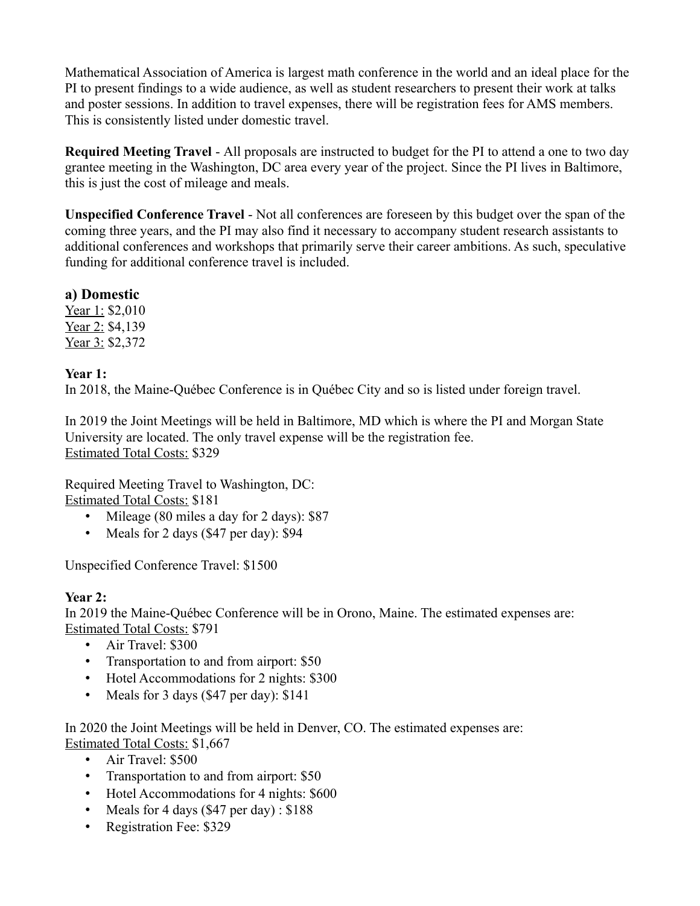Mathematical Association of America is largest math conference in the world and an ideal place for the PI to present findings to a wide audience, as well as student researchers to present their work at talks and poster sessions. In addition to travel expenses, there will be registration fees for AMS members. This is consistently listed under domestic travel.

Required Meeting Travel - All proposals are instructed to budget for the PI to attend a one to two dav grantee meeting in the Washington, DC area every year of the project. Since the PI lives in Baltimore, this is just the cost of mileage and meals.

**Unspecified Conference Travel - Not all conferences are foreseen by this budget over the span of the** coming three years, and the PI may also find it necessary to accompany student research assistants to additional conferences and workshops that primarily serve their career ambitions. As such, speculative funding for additional conference travel is included.

a) Domestic

Year 1: \$2,010 Year 2: \$4,139 Year 3: \$2,372

Year  $1:$ 

In 2018, the Maine-Ouébec Conference is in Ouébec City and so is listed under foreign travel.

In 2019 the Joint Meetings will be held in Baltimore, MD which is where the PI and Morgan State University are located. The only travel expense will be the registration fee. **Estimated Total Costs: \$329** 

Required Meeting Travel to Washington, DC: **Estimated Total Costs: \$181** 

- Mileage (80 miles a day for 2 days): \$87
- Meals for 2 days  $(\$47$  per day):  $\$94$

Unspecified Conference Travel: \$1500

### Year 2:

In 2019 the Maine-Québec Conference will be in Orono, Maine. The estimated expenses are: **Estimated Total Costs: \$791** 

- Air Travel:  $$300$
- Transportation to and from airport: \$50
- Hotel Accommodations for 2 nights: \$300
- Meals for 3 days  $(\$47$  per day):  $\$141$

In 2020 the Joint Meetings will be held in Denver, CO. The estimated expenses are: **Estimated Total Costs: \$1.667** 

- Air Travel: \$500
- Transportation to and from airport: \$50
- Hotel Accommodations for 4 nights: \$600
- Meals for 4 days  $(\$47 \text{ per day})$ : \$188
- Registration Fee: \$329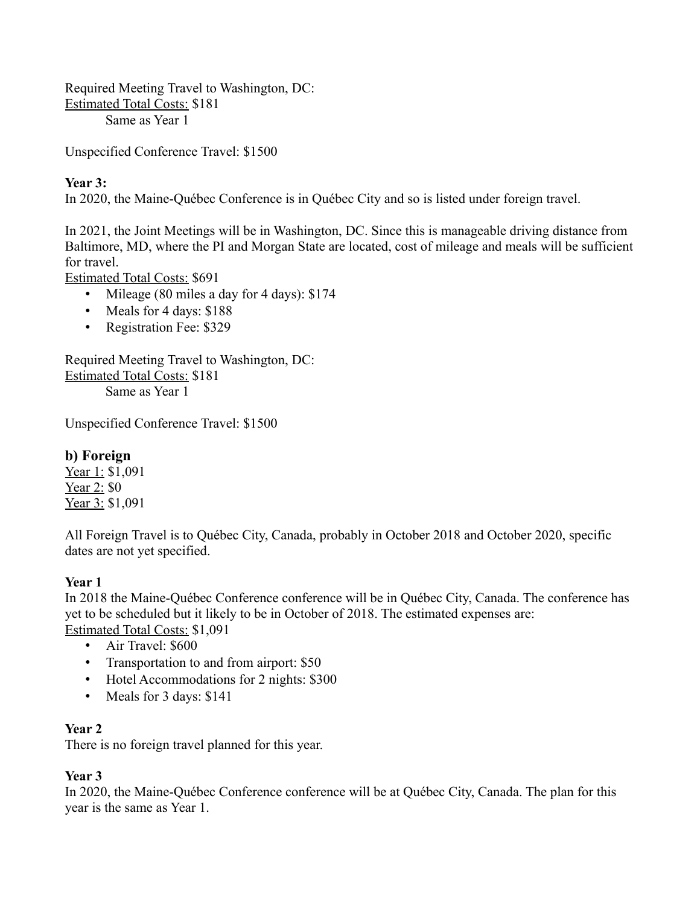Required Meeting Travel to Washington, DC: **Estimated Total Costs: \$181** Same as Year 1

Unspecified Conference Travel: \$1500

### Year 3:

In 2020, the Maine-Québec Conference is in Québec City and so is listed under foreign travel.

In 2021, the Joint Meetings will be in Washington, DC. Since this is manageable driving distance from Baltimore, MD, where the PI and Morgan State are located, cost of mileage and meals will be sufficient for travel.

**Estimated Total Costs: \$691** 

- Mileage (80 miles a day for 4 days): \$174
- Meals for 4 days: \$188
- Registration Fee: \$329

Required Meeting Travel to Washington, DC: **Estimated Total Costs: \$181** Same as Year 1

Unspecified Conference Travel: \$1500

### b) Foreign

Year 1: \$1,091 Year  $2: $0$ Year 3: \$1,091

All Foreign Travel is to Québec City, Canada, probably in October 2018 and October 2020, specific dates are not yet specified.

### **Year 1**

In 2018 the Maine-Québec Conference conference will be in Québec City, Canada. The conference has yet to be scheduled but it likely to be in October of 2018. The estimated expenses are: Estimated Total Costs: \$1,091

- Air Travel: \$600
- Transportation to and from airport: \$50
- Hotel Accommodations for 2 nights: \$300
- Meals for  $3$  days:  $$141$

### Year 2

There is no foreign travel planned for this year.

### Year 3

In 2020, the Maine-Québec Conference conference will be at Québec City, Canada. The plan for this year is the same as Year 1.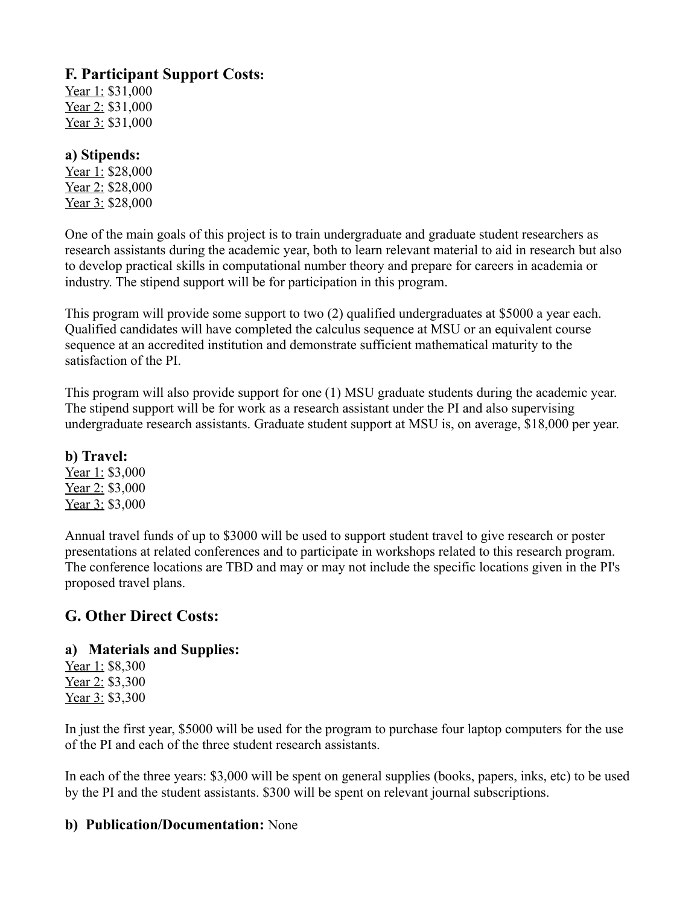### **F. Participant Support Costs:**

Year 1: \$31,000 Year 2: \$31,000 Year 3: \$31,000

### a) Stipends:

Year 1: \$28,000 Year 2: \$28,000 Year 3: \$28,000

One of the main goals of this project is to train undergraduate and graduate student researchers as research assistants during the academic year, both to learn relevant material to aid in research but also to develop practical skills in computational number theory and prepare for careers in academia or industry. The stipend support will be for participation in this program.

This program will provide some support to two (2) qualified undergraduates at \$5000 a year each. Qualified candidates will have completed the calculus sequence at MSU or an equivalent course sequence at an accredited institution and demonstrate sufficient mathematical maturity to the satisfaction of the PL

This program will also provide support for one (1) MSU graduate students during the academic year. The stipend support will be for work as a research assistant under the PI and also supervising undergraduate research assistants. Graduate student support at MSU is, on average, \$18,000 per year.

### b) Travel:

Year 1: \$3,000 Year 2: \$3,000 Year 3: \$3,000

Annual travel funds of up to \$3000 will be used to support student travel to give research or poster presentations at related conferences and to participate in workshops related to this research program. The conference locations are TBD and may or may not include the specific locations given in the PI's proposed travel plans.

### **G. Other Direct Costs:**

### a) Materials and Supplies:

Year 1: \$8,300 Year 2: \$3,300 Year 3: \$3,300

In just the first year, \$5000 will be used for the program to purchase four laptop computers for the use of the PI and each of the three student research assistants

In each of the three years: \$3,000 will be spent on general supplies (books, papers, inks, etc) to be used by the PI and the student assistants. \$300 will be spent on relevant journal subscriptions.

### b) Publication/Documentation: None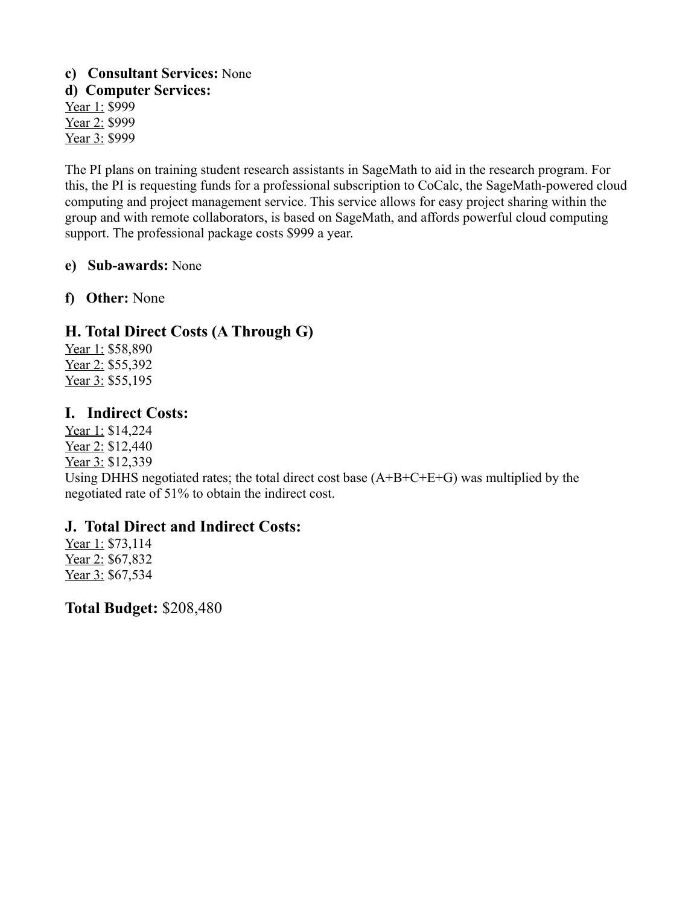### c) Consultant Services: None d) Computer Services: Year 1: \$999 Year 2: \$999 Year 3: \$999

The PI plans on training student research assistants in SageMath to aid in the research program. For this, the PI is requesting funds for a professional subscription to CoCalc, the SageMath-powered cloud computing and project management service. This service allows for easy project sharing within the group and with remote collaborators, is based on SageMath, and affords powerful cloud computing support. The professional package costs \$999 a year.

### e) Sub-awards: None

f) Other: None

### H. Total Direct Costs (A Through G)

Year 1: \$58,890 Year 2: \$55,392 Year 3: \$55,195

### **I. Indirect Costs:**

Year 1: \$14,224 Year 2: \$12,440 Year 3: \$12,339

Using DHHS negotiated rates; the total direct cost base  $(A+B+C+E+G)$  was multiplied by the negotiated rate of 51% to obtain the indirect cost.

### J. Total Direct and Indirect Costs:

Year 1: \$73,114 Year 2: \$67,832 Year 3: \$67,534

**Total Budget: \$208,480**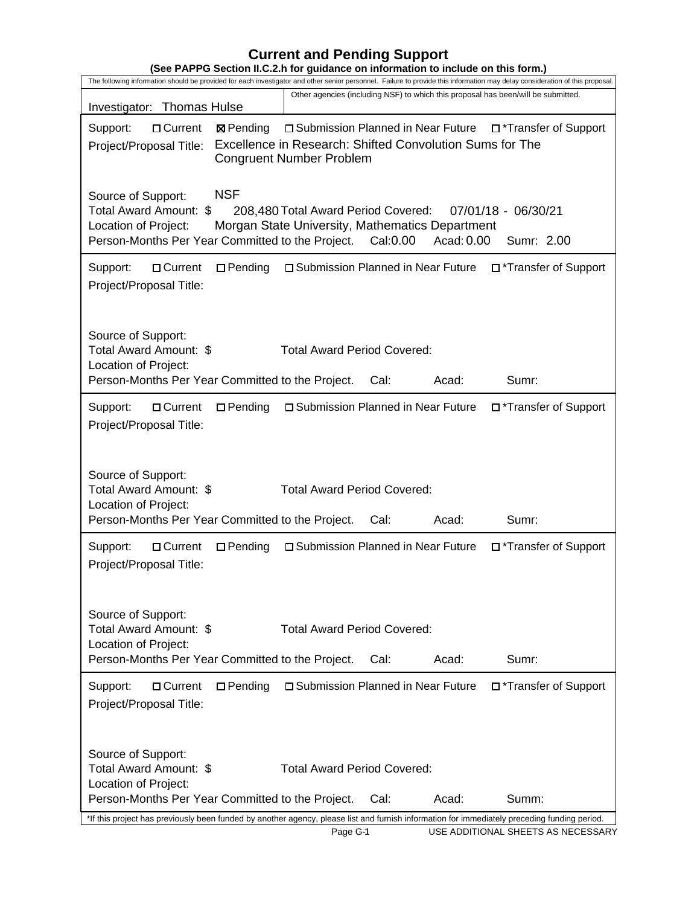# **Current and Pending Support**

| (See PAPPG Section II.C.2.h for guidance on information to include on this form.)                                                                                                                                                                                                               |  |  |  |  |  |
|-------------------------------------------------------------------------------------------------------------------------------------------------------------------------------------------------------------------------------------------------------------------------------------------------|--|--|--|--|--|
| The following information should be provided for each investigator and other senior personnel. Failure to provide this information may delay consideration of this proposal.                                                                                                                    |  |  |  |  |  |
| Other agencies (including NSF) to which this proposal has been/will be submitted.<br>Investigator: Thomas Hulse                                                                                                                                                                                 |  |  |  |  |  |
| Support:<br>□ Current<br>□ Submission Planned in Near Future<br>□ *Transfer of Support<br><b>⊠</b> Pending<br>Excellence in Research: Shifted Convolution Sums for The<br>Project/Proposal Title:<br><b>Congruent Number Problem</b>                                                            |  |  |  |  |  |
| <b>NSF</b><br>Source of Support:<br>Total Award Amount: \$<br>07/01/18 - 06/30/21<br>208,480 Total Award Period Covered:<br>Location of Project:<br>Morgan State University, Mathematics Department<br>Person-Months Per Year Committed to the Project.<br>Cal:0.00<br>Acad: 0.00<br>Sumr: 2.00 |  |  |  |  |  |
| $\square$ Pending<br>□ Submission Planned in Near Future □*Transfer of Support<br>Support:<br>□ Current<br>Project/Proposal Title:                                                                                                                                                              |  |  |  |  |  |
| Source of Support:<br>Total Award Amount: \$<br><b>Total Award Period Covered:</b><br>Location of Project:<br>Person-Months Per Year Committed to the Project.<br>Acad:<br>Cal:<br>Sumr:                                                                                                        |  |  |  |  |  |
| □ Submission Planned in Near Future<br>Transfer of Support<br>Support:<br>□ Current<br>$\Box$ Pending<br>Project/Proposal Title:                                                                                                                                                                |  |  |  |  |  |
| Source of Support:<br>Total Award Amount: \$<br><b>Total Award Period Covered:</b><br>Location of Project:<br>Person-Months Per Year Committed to the Project.<br>Acad:<br>Sumr:<br>Cal:                                                                                                        |  |  |  |  |  |
| □ Submission Planned in Near Future<br>Transfer of Support<br>Support:<br>□ Current<br>$\Box$ Pending<br>Project/Proposal Title:                                                                                                                                                                |  |  |  |  |  |
| Source of Support:<br>Total Award Amount: \$<br><b>Total Award Period Covered:</b><br>Location of Project:<br>Person-Months Per Year Committed to the Project.<br>Acad:<br>Sumr:<br>Cal:                                                                                                        |  |  |  |  |  |
| $\Box$ Pending<br>□ Submission Planned in Near Future □ *Transfer of Support<br>Support:<br>□ Current<br>Project/Proposal Title:                                                                                                                                                                |  |  |  |  |  |
| Source of Support:<br>Total Award Amount: \$<br><b>Total Award Period Covered:</b><br>Location of Project:<br>Person-Months Per Year Committed to the Project.<br>Acad:<br>Summ:<br>Cal:                                                                                                        |  |  |  |  |  |
| *If this project has previously been funded by another agency, please list and furnish information for immediately preceding funding period.                                                                                                                                                    |  |  |  |  |  |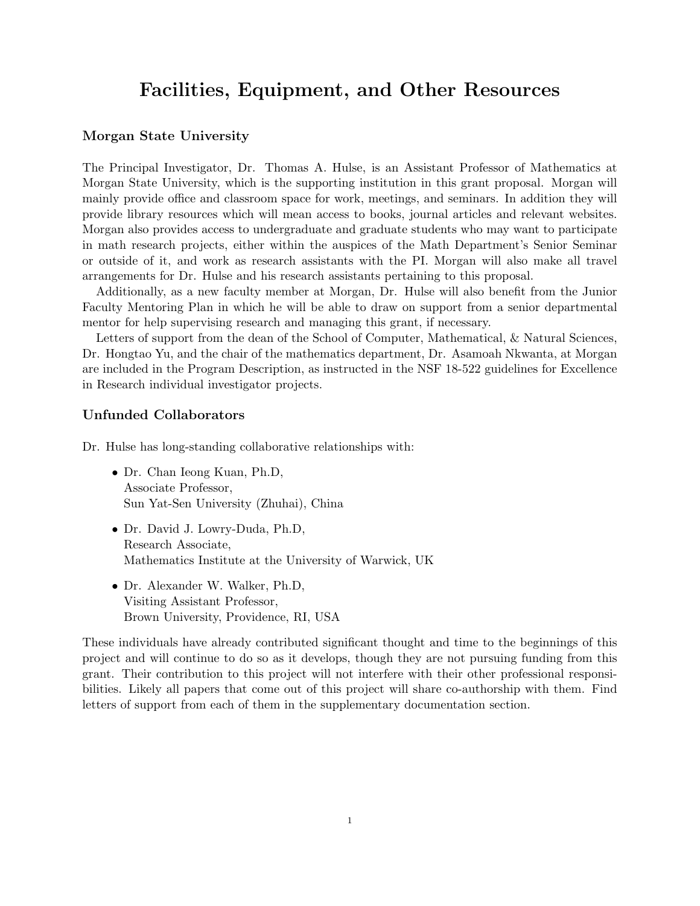### **Facilities, Equipment, and Other Resources**

#### **Morgan State University**

The Principal Investigator, Dr. Thomas A. Hulse, is an Assistant Professor of Mathematics at Morgan State University, which is the supporting institution in this grant proposal. Morgan will mainly provide office and classroom space for work, meetings, and seminars. In addition they will provide library resources which will mean access to books, journal articles and relevant websites. Morgan also provides access to undergraduate and graduate students who may want to participate in math research projects, either within the auspices of the Math Department's Senior Seminar or outside of it, and work as research assistants with the PI. Morgan will also make all travel arrangements for Dr. Hulse and his research assistants pertaining to this proposal.

Additionally, as a new faculty member at Morgan, Dr. Hulse will also benefit from the Junior Faculty Mentoring Plan in which he will be able to draw on support from a senior departmental mentor for help supervising research and managing this grant, if necessary.

Letters of support from the dean of the School of Computer, Mathematical, & Natural Sciences, Dr. Hongtao Yu, and the chair of the mathematics department, Dr. Asamoah Nkwanta, at Morgan are included in the Program Description, as instructed in the NSF 18-522 guidelines for Excellence in Research individual investigator projects.

#### **Unfunded Collaborators**

Dr. Hulse has long-standing collaborative relationships with:

- Dr. Chan Ieong Kuan, Ph.D, Associate Professor, Sun Yat-Sen University (Zhuhai), China
- Dr. David J. Lowry-Duda, Ph.D, Research Associate, Mathematics Institute at the University of Warwick, UK
- Dr. Alexander W. Walker, Ph.D, Visiting Assistant Professor, Brown University, Providence, RI, USA

These individuals have already contributed significant thought and time to the beginnings of this project and will continue to do so as it develops, though they are not pursuing funding from this grant. Their contribution to this project will not interfere with their other professional responsibilities. Likely all papers that come out of this project will share co-authorship with them. Find letters of support from each of them in the supplementary documentation section.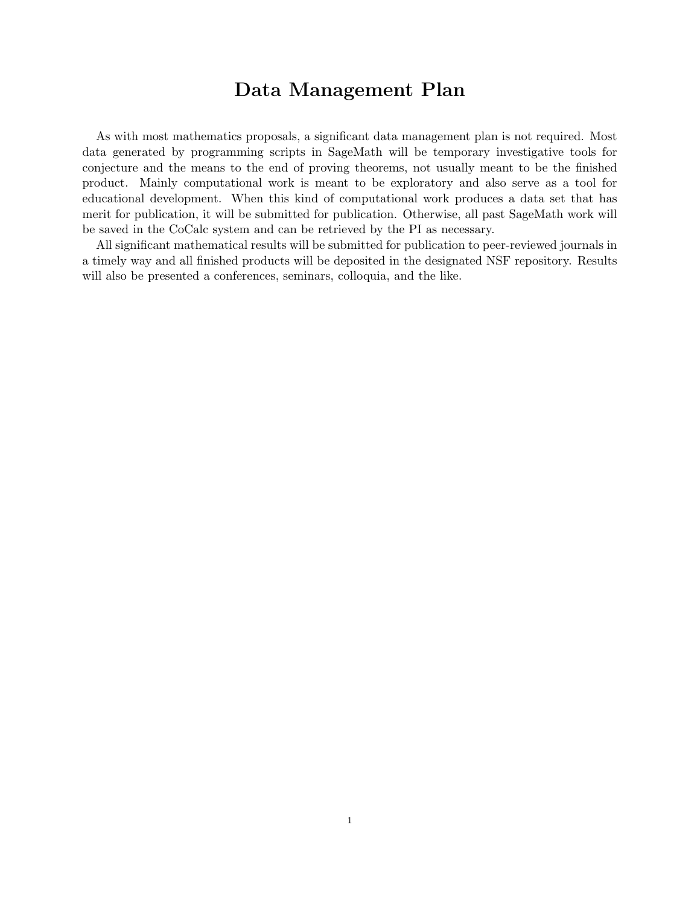# **Data Management Plan**

As with most mathematics proposals, a significant data management plan is not required. Most data generated by programming scripts in SageMath will be temporary investigative tools for conjecture and the means to the end of proving theorems, not usually meant to be the finished product. Mainly computational work is meant to be exploratory and also serve as a tool for educational development. When this kind of computational work produces a data set that has merit for publication, it will be submitted for publication. Otherwise, all past SageMath work will be saved in the CoCalc system and can be retrieved by the PI as necessary.

All significant mathematical results will be submitted for publication to peer-reviewed journals in a timely way and all finished products will be deposited in the designated NSF repository. Results will also be presented a conferences, seminars, colloquia, and the like.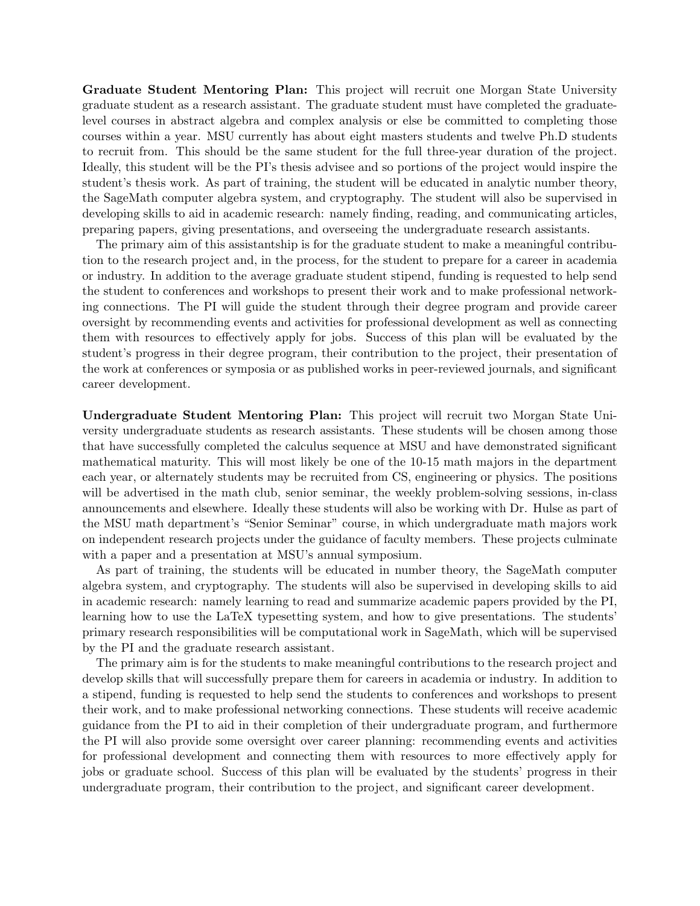**Graduate Student Mentoring Plan:** This project will recruit one Morgan State University graduate student as a research assistant. The graduate student must have completed the graduatelevel courses in abstract algebra and complex analysis or else be committed to completing those courses within a year. MSU currently has about eight masters students and twelve Ph.D students to recruit from. This should be the same student for the full three-year duration of the project. Ideally, this student will be the PI's thesis advisee and so portions of the project would inspire the student's thesis work. As part of training, the student will be educated in analytic number theory, the SageMath computer algebra system, and cryptography. The student will also be supervised in developing skills to aid in academic research: namely finding, reading, and communicating articles, preparing papers, giving presentations, and overseeing the undergraduate research assistants.

The primary aim of this assistantship is for the graduate student to make a meaningful contribution to the research project and, in the process, for the student to prepare for a career in academia or industry. In addition to the average graduate student stipend, funding is requested to help send the student to conferences and workshops to present their work and to make professional networking connections. The PI will guide the student through their degree program and provide career oversight by recommending events and activities for professional development as well as connecting them with resources to effectively apply for jobs. Success of this plan will be evaluated by the student's progress in their degree program, their contribution to the project, their presentation of the work at conferences or symposia or as published works in peer-reviewed journals, and significant career development.

**Undergraduate Student Mentoring Plan:** This project will recruit two Morgan State University undergraduate students as research assistants. These students will be chosen among those that have successfully completed the calculus sequence at MSU and have demonstrated significant mathematical maturity. This will most likely be one of the 10-15 math majors in the department each year, or alternately students may be recruited from CS, engineering or physics. The positions will be advertised in the math club, senior seminar, the weekly problem-solving sessions, in-class announcements and elsewhere. Ideally these students will also be working with Dr. Hulse as part of the MSU math department's "Senior Seminar" course, in which undergraduate math majors work on independent research projects under the guidance of faculty members. These projects culminate with a paper and a presentation at MSU's annual symposium.

As part of training, the students will be educated in number theory, the SageMath computer algebra system, and cryptography. The students will also be supervised in developing skills to aid in academic research: namely learning to read and summarize academic papers provided by the PI, learning how to use the LaTeX typesetting system, and how to give presentations. The students' primary research responsibilities will be computational work in SageMath, which will be supervised by the PI and the graduate research assistant.

The primary aim is for the students to make meaningful contributions to the research project and develop skills that will successfully prepare them for careers in academia or industry. In addition to a stipend, funding is requested to help send the students to conferences and workshops to present their work, and to make professional networking connections. These students will receive academic guidance from the PI to aid in their completion of their undergraduate program, and furthermore the PI will also provide some oversight over career planning: recommending events and activities for professional development and connecting them with resources to more effectively apply for jobs or graduate school. Success of this plan will be evaluated by the students' progress in their undergraduate program, their contribution to the project, and significant career development.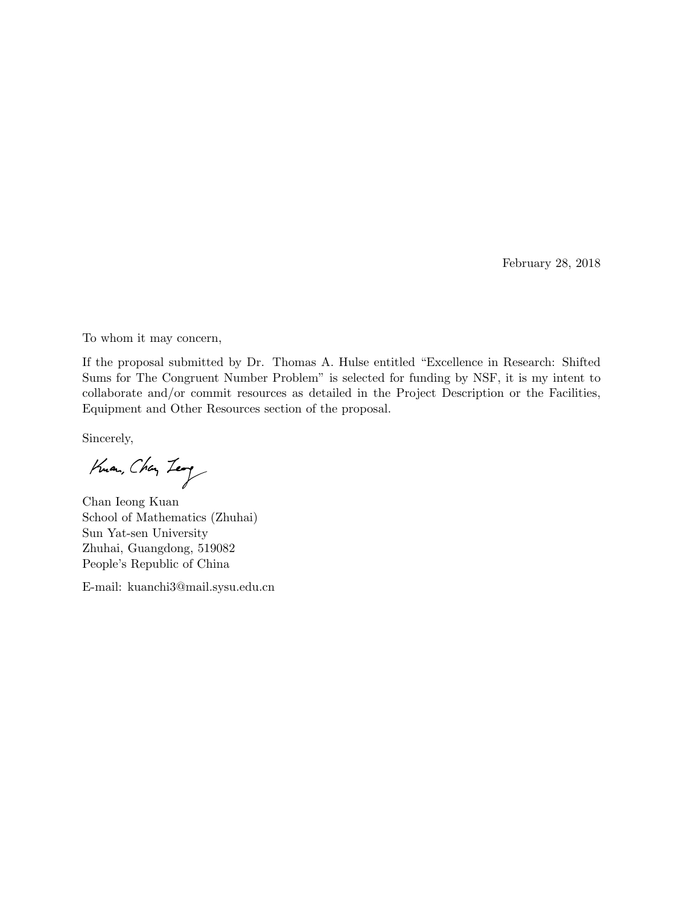February 28, 2018

To whom it may concern,

If the proposal submitted by Dr. Thomas A. Hulse entitled "Excellence in Research: Shifted Sums for The Congruent Number Problem" is selected for funding by NSF, it is my intent to collaborate and/or commit resources as detailed in the Project Description or the Facilities, Equipment and Other Resources section of the proposal.

Sincerely,

Kuan, Chan Leag

Chan Ieong Kuan School of Mathematics (Zhuhai) Sun Yat-sen University Zhuhai, Guangdong, 519082 People's Republic of China

E-mail: kuanchi3@mail.sysu.edu.cn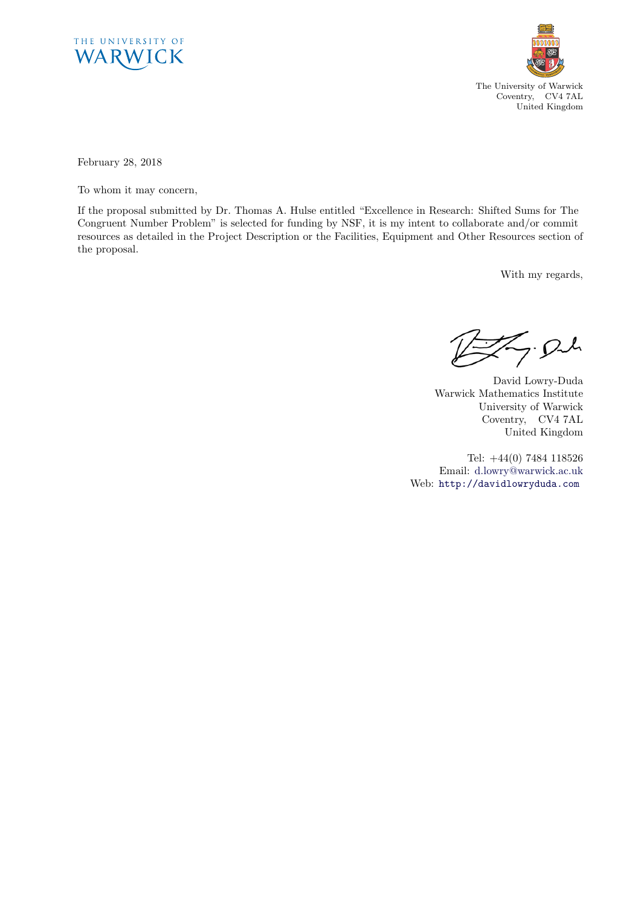



February 28, 2018

To whom it may concern,

If the proposal submitted by Dr. Thomas A. Hulse entitled "Excellence in Research: Shifted Sums for The Congruent Number Problem" is selected for funding by NSF, it is my intent to collaborate and/or commit resources as detailed in the Project Description or the Facilities, Equipment and Other Resources section of the proposal.

With my regards,

 $Z$ . Och

David Lowry-Duda Warwick Mathematics Institute University of Warwick Coventry, CV4 7AL United Kingdom

Tel: +44(0) 7484 118526 Email: d.lowry@warwick.ac.uk Web: http://davidlowryduda.com